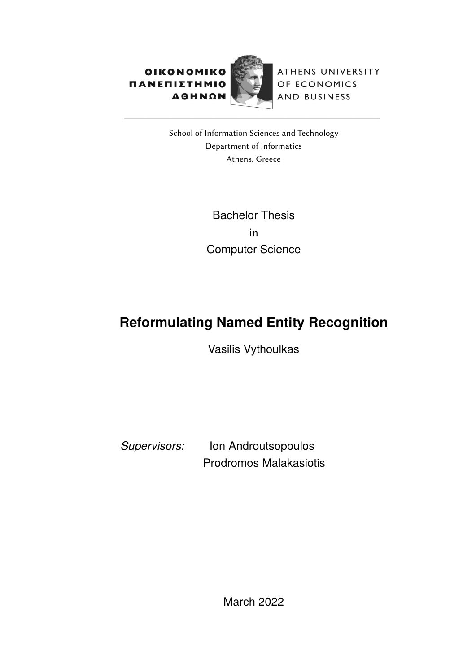

ATHENS UNIVERSITY OF ECONOMICS AND BUSINESS

School of Information Sciences and Technology Department of Informatics Athens, Greece

> Bachelor Thesis in Computer Science

# **Reformulating Named Entity Recognition**

Vasilis Vythoulkas

*Supervisors:* Ion Androutsopoulos Prodromos Malakasiotis

March 2022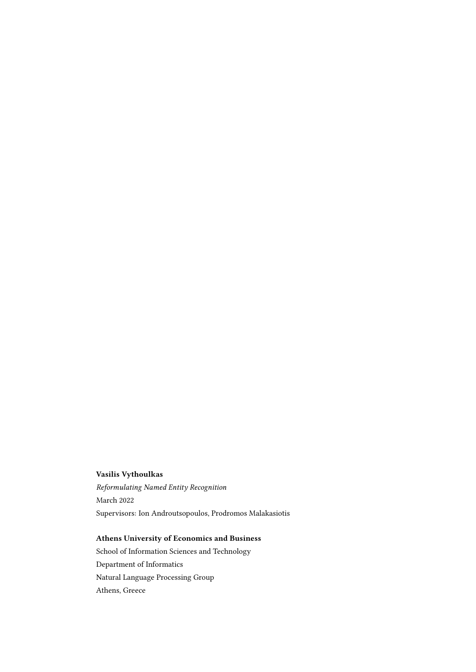#### Vasilis Vythoulkas

Reformulating Named Entity Recognition March 2022 Supervisors: Ion Androutsopoulos, Prodromos Malakasiotis

#### Athens University of Economics and Business

School of Information Sciences and Technology Department of Informatics Natural Language Processing Group Athens, Greece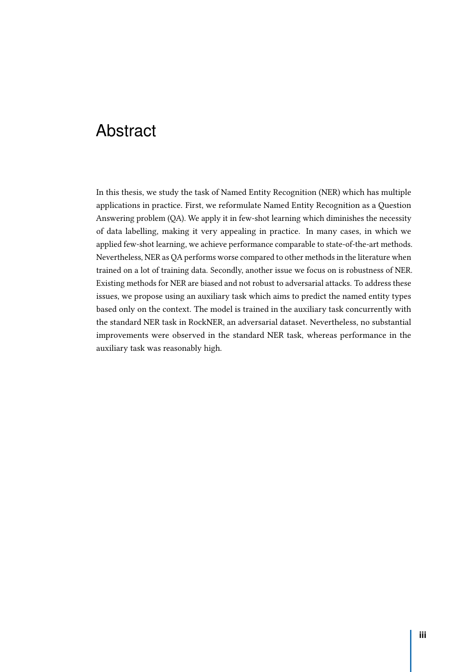## Abstract

In this thesis, we study the task of Named Entity Recognition (NER) which has multiple applications in practice. First, we reformulate Named Entity Recognition as a Question Answering problem (QA). We apply it in few-shot learning which diminishes the necessity of data labelling, making it very appealing in practice. In many cases, in which we applied few-shot learning, we achieve performance comparable to state-of-the-art methods. Nevertheless, NER as QA performs worse compared to other methods in the literature when trained on a lot of training data. Secondly, another issue we focus on is robustness of NER. Existing methods for NER are biased and not robust to adversarial attacks. To address these issues, we propose using an auxiliary task which aims to predict the named entity types based only on the context. The model is trained in the auxiliary task concurrently with the standard NER task in RockNER, an adversarial dataset. Nevertheless, no substantial improvements were observed in the standard NER task, whereas performance in the auxiliary task was reasonably high.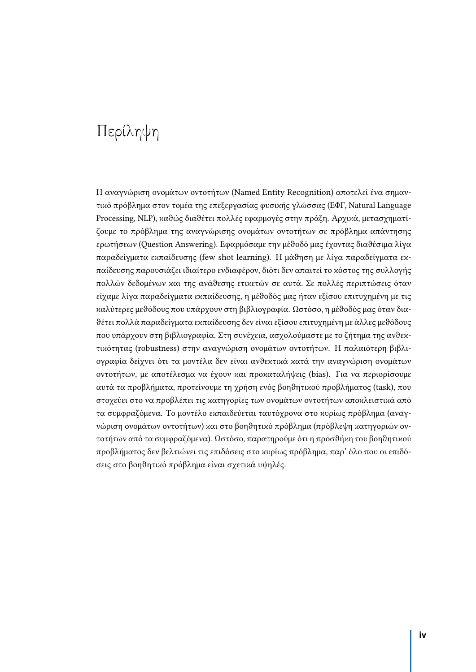# <span id="page-3-0"></span>Περίληψη

Η αναγνώριση ονοµάτων οντοτήτων (Named Entity Recognition) αποτελεί ένα σηµαντικό πρόβλημα στον τομέα της επεξεργασίας φυσικής γλώσσας (ΕΦΓ, Natural Language Processing, NLP), καθώς διαθέτει πολλές εφαρμογές στην πράξη. Αρχικά, μετασχηματίζουµε το πρόβληµα της αναγνώρισης ονοµάτων οντοτήτων σε πρόβληµα απάντησης ερωτήσεων (Question Answering). Εφαρµόσαµε την µέϑοδό µας έχοντας διαϑέσιµα λίγα παραδείγµατα εϰπαίδευσης (few shot learning). H µάϑηση µε λίγα παραδείγµατα εϰπαίδευσης παρουσιάζει ιδιαίτερο ενδιαφέρον, διότι δεν απαιτεί το κόστος της συλλογής πολλών δεδομένων και της ανάθεσης ετικετών σε αυτά. Σε πολλές περιπτώσεις όταν είχαµε λίγα παραδείγµατα εϰπαίδευσης, η µέϑοδός µας ήταν εξίσου επιτυχηµένη µε τις ϰαλύτερες µεϑόδους που υπάρχουν στη βιβλιογραφία. Ωστόσο, η µέϑοδός µας όταν διαϑέτει πολλά παραδείγµατα εϰπαίδευσης δεν είναι εξίσου επιτυχηµένη µε άλλες µεϑόδους που υπάρχουν στη βιβλιογραφία. Στη συνέχεια, ασχολούµαστε µε το ζήτηµα της ανϑεϰτιϰότητας (robustness) στην αναγνώριση ονοµάτων οντοτήτων. Η παλαιότερη βιβλιογραφία δείχνει ότι τα μοντέλα δεν είναι ανθεκτικά κατά την αναγνώριση ονομάτων οντοτήτων, µε αποτέλεσµα να έχουν ϰαι προϰαταλήψεις (bias). Για να περιορίσουµε αυτά τα προβλήµατα, προτείνουµε τη χρήση ενός βοηϑητιϰού προβλήµατος (task), που στοχεύει στο να προβλέπει τις ϰατηγορίες των ονοµάτων οντοτήτων αποϰλειστιϰά από τα συµφραζόµενα. Το µοντέλο εϰπαιδεύεται ταυτόχρονα στο ϰυρίως πρόβληµα (αναγνώριση ονομάτων οντοτήτων) και στο βοηθητικό πρόβλημα (πρόβλεψη κατηγοριών οντοτήτων από τα συµφραζόµενα). Ωστόσο, παρατηρούµε ότι η προσϑήϰη του βοηϑητιϰού προβλήµατος δεν βελτιώνει τις επιδόσεις στο ϰυρίως πρόβληµα, παρ' όλο που οι επιδόσεις στο βοηθητικό πρόβλημα είναι σχετικά υψηλές.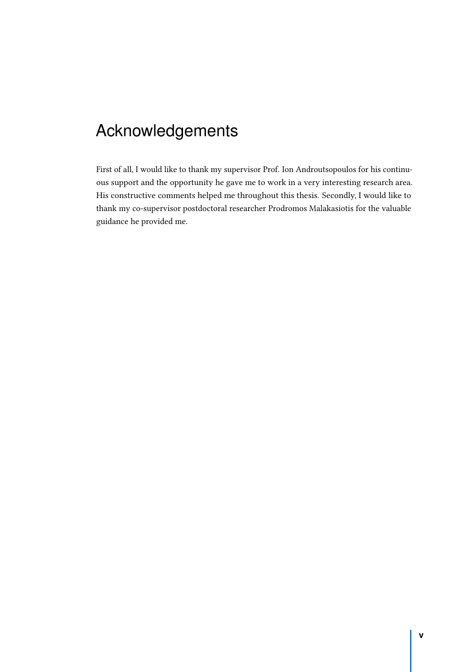# <span id="page-4-0"></span>Acknowledgements

First of all, I would like to thank my supervisor Prof. Ion Androutsopoulos for his continuous support and the opportunity he gave me to work in a very interesting research area. His constructive comments helped me throughout this thesis. Secondly, I would like to thank my co-supervisor postdoctoral researcher Prodromos Malakasiotis for the valuable guidance he provided me.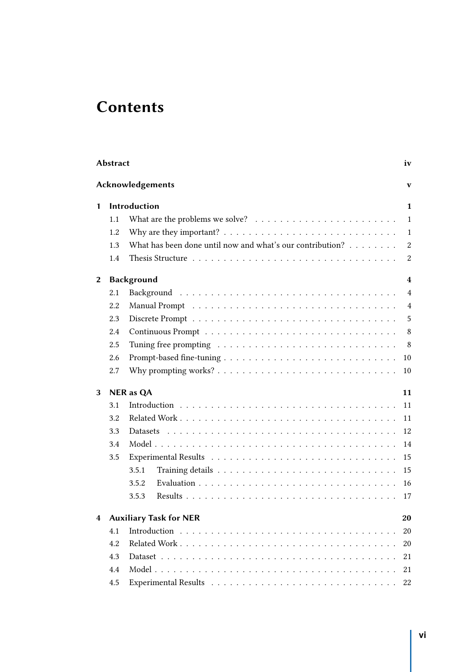# **Contents**

|   | <b>Abstract</b> |                                                                                             | iv               |
|---|-----------------|---------------------------------------------------------------------------------------------|------------------|
|   |                 | Acknowledgements                                                                            | V                |
| 1 |                 | Introduction                                                                                | 1                |
|   | 1.1             | What are the problems we solve? $\ldots \ldots \ldots \ldots \ldots \ldots \ldots$          | $\mathbf{1}$     |
|   | 1.2             | Why are they important? $\dots \dots \dots \dots \dots \dots \dots \dots \dots \dots \dots$ | $\mathbf{1}$     |
|   | 1.3             | What has been done until now and what's our contribution?                                   | $\boldsymbol{2}$ |
|   | 1.4             |                                                                                             | 2                |
| 2 |                 | <b>Background</b>                                                                           | 4                |
|   | 2.1             |                                                                                             | $\overline{4}$   |
|   | 2.2             |                                                                                             | $\overline{4}$   |
|   | 2.3             |                                                                                             | 5                |
|   | 2.4             |                                                                                             | 8                |
|   | 2.5             |                                                                                             | 8                |
|   | 2.6             |                                                                                             | 10               |
|   | 2.7             |                                                                                             | 10               |
| 3 |                 | <b>NER</b> as QA                                                                            | 11               |
|   | 3.1             |                                                                                             | 11               |
|   | 3.2             |                                                                                             | 11               |
|   | 3.3             |                                                                                             | 12               |
|   | 3.4             |                                                                                             | 14               |
|   | 3.5             |                                                                                             | 15               |
|   |                 | 3.5.1                                                                                       | 15               |
|   |                 | 3.5.2                                                                                       | 16               |
|   |                 | 3.5.3                                                                                       | 17               |
|   |                 | <b>Auxiliary Task for NER</b>                                                               | 20               |
|   | 4.1             |                                                                                             | 20               |
|   | 4.2             |                                                                                             | 20               |
|   | 4.3             |                                                                                             | 21               |
|   | 4.4             |                                                                                             | 21               |
|   | 4.5             |                                                                                             | 22               |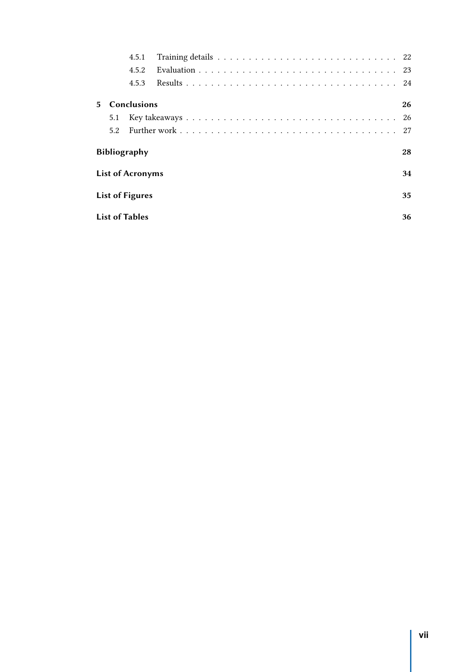|             |                         | 4.5.1       |  |    |  |  |
|-------------|-------------------------|-------------|--|----|--|--|
|             |                         | 4.5.2       |  |    |  |  |
|             |                         | 4.5.3       |  |    |  |  |
| $5^{\circ}$ |                         | Conclusions |  | 26 |  |  |
|             | 5.1                     |             |  | 26 |  |  |
|             | 5.2                     |             |  | 27 |  |  |
|             | <b>Bibliography</b>     |             |  |    |  |  |
|             | <b>List of Acronyms</b> |             |  |    |  |  |
|             | <b>List of Figures</b>  |             |  |    |  |  |
|             | <b>List of Tables</b>   |             |  |    |  |  |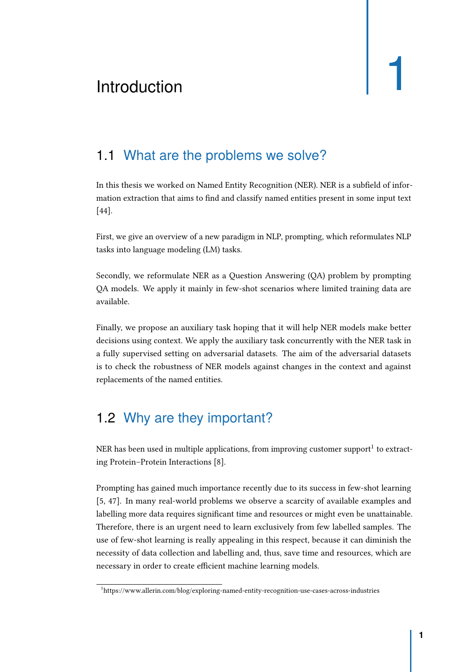# <span id="page-7-0"></span>Introduction and the set of  $\begin{bmatrix} 1 & 1 \\ 1 & 1 \end{bmatrix}$

## 1.1 What are the problems we solve?

<span id="page-7-1"></span>In this thesis we worked on Named Entity Recognition (NER). NER is a subfield of information extraction that aims to find and classify named entities present in some input text [\[44\]](#page-38-0).

First, we give an overview of a new paradigm in NLP, prompting, which reformulates NLP tasks into language modeling (LM) tasks.

Secondly, we reformulate NER as a Question Answering (QA) problem by prompting QA models. We apply it mainly in few-shot scenarios where limited training data are available.

Finally, we propose an auxiliary task hoping that it will help NER models make better decisions using context. We apply the auxiliary task concurrently with the NER task in a fully supervised setting on adversarial datasets. The aim of the adversarial datasets is to check the robustness of NER models against changes in the context and against replacements of the named entities.

## 1.2 Why are they important?

<span id="page-7-2"></span>NER has been used in multiple applications, from improving customer support<sup>[1](#page-7-3)</sup> to extracting Protein–Protein Interactions [\[8\]](#page-34-1).

Prompting has gained much importance recently due to its success in few-shot learning [\[5,](#page-34-2) [47\]](#page-38-1). In many real-world problems we observe a scarcity of available examples and labelling more data requires significant time and resources or might even be unattainable. Therefore, there is an urgent need to learn exclusively from few labelled samples. The use of few-shot learning is really appealing in this respect, because it can diminish the necessity of data collection and labelling and, thus, save time and resources, which are necessary in order to create efficient machine learning models.

<span id="page-7-3"></span><sup>&</sup>lt;sup>1</sup>https://www.allerin.com/blog/exploring-named-entity-recognition-use-cases-across-industries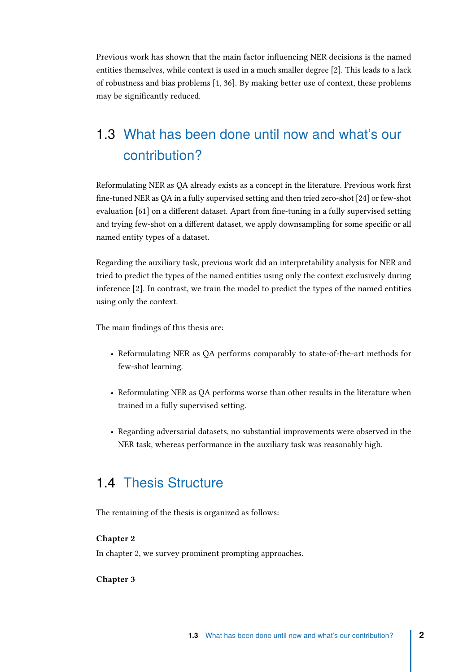Previous work has shown that the main factor influencing NER decisions is the named entities themselves, while context is used in a much smaller degree [\[2\]](#page-34-3). This leads to a lack of robustness and bias problems [\[1,](#page-34-4) [36\]](#page-37-0). By making better use of context, these problems may be significantly reduced.

# 1.3 What has been done until now and what's our contribution?

<span id="page-8-0"></span>Reformulating NER as QA already exists as a concept in the literature. Previous work first fine-tuned NER as QA in a fully supervised setting and then tried zero-shot [\[24\]](#page-36-0) or few-shot evaluation [\[61\]](#page-39-0) on a different dataset. Apart from fine-tuning in a fully supervised setting and trying few-shot on a different dataset, we apply downsampling for some specific or all named entity types of a dataset.

Regarding the auxiliary task, previous work did an interpretability analysis for NER and tried to predict the types of the named entities using only the context exclusively during inference [\[2\]](#page-34-3). In contrast, we train the model to predict the types of the named entities using only the context.

The main findings of this thesis are:

- Reformulating NER as QA performs comparably to state-of-the-art methods for few-shot learning.
- Reformulating NER as QA performs worse than other results in the literature when trained in a fully supervised setting.
- Regarding adversarial datasets, no substantial improvements were observed in the NER task, whereas performance in the auxiliary task was reasonably high.

#### 1.4 Thesis Structure

<span id="page-8-1"></span>The remaining of the thesis is organized as follows:

#### Chapter [2](#page-10-3)

In chapter 2, we survey prominent prompting approaches.

#### Chapter [3](#page-17-3)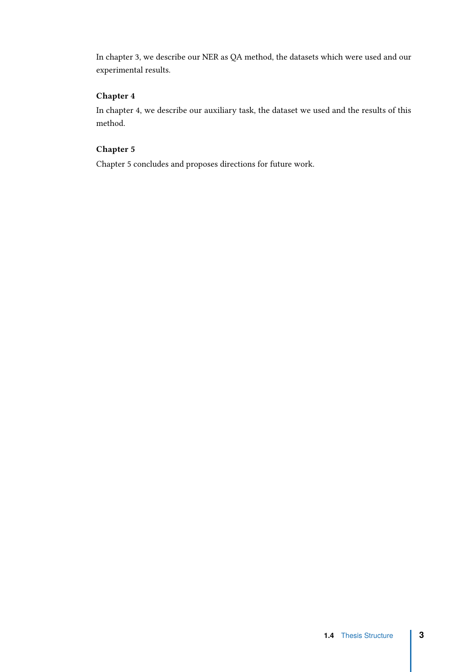In chapter 3, we describe our NER as QA method, the datasets which were used and our experimental results.

#### Chapter [4](#page-26-3)

In chapter 4, we describe our auxiliary task, the dataset we used and the results of this method.

#### Chapter [5](#page-32-2)

Chapter 5 concludes and proposes directions for future work.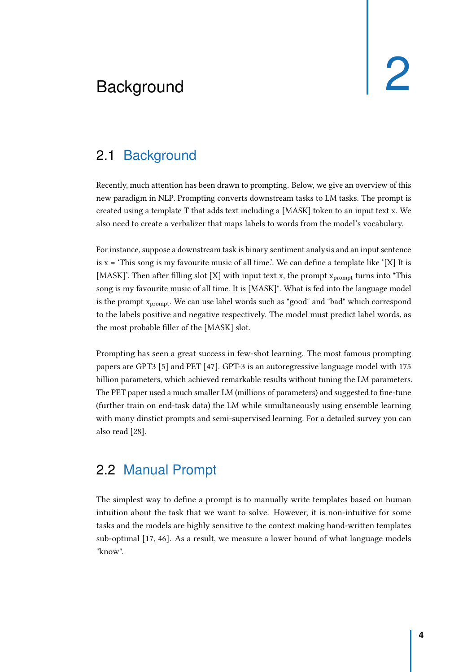# <span id="page-10-3"></span><span id="page-10-0"></span>Background 2

### 2.1 Background

<span id="page-10-1"></span>Recently, much attention has been drawn to prompting. Below, we give an overview of this new paradigm in NLP. Prompting converts downstream tasks to LM tasks. The prompt is created using a template T that adds text including a [MASK] token to an input text x. We also need to create a verbalizer that maps labels to words from the model's vocabulary.

For instance, suppose a downstream task is binary sentiment analysis and an input sentence is  $x =$  'This song is my favourite music of all time.'. We can define a template like '[X] It is [MASK]'. Then after filling slot [X] with input text x, the prompt  $x_{\text{prompt}}$  turns into "This song is my favourite music of all time. It is [MASK]". What is fed into the language model is the prompt  $x_{prompt}$ . We can use label words such as "good" and "bad" which correspond to the labels positive and negative respectively. The model must predict label words, as the most probable filler of the [MASK] slot.

Prompting has seen a great success in few-shot learning. The most famous prompting papers are GPT3 [\[5\]](#page-34-2) and PET [\[47\]](#page-38-1). GPT-3 is an autoregressive language model with 175 billion parameters, which achieved remarkable results without tuning the LM parameters. The PET paper used a much smaller LM (millions of parameters) and suggested to fine-tune (further train on end-task data) the LM while simultaneously using ensemble learning with many dinstict prompts and semi-supervised learning. For a detailed survey you can also read [\[28\]](#page-36-1).

#### 2.2 Manual Prompt

<span id="page-10-2"></span>The simplest way to define a prompt is to manually write templates based on human intuition about the task that we want to solve. However, it is non-intuitive for some tasks and the models are highly sensitive to the context making hand-written templates sub-optimal [\[17,](#page-35-0) [46\]](#page-38-2). As a result, we measure a lower bound of what language models "know".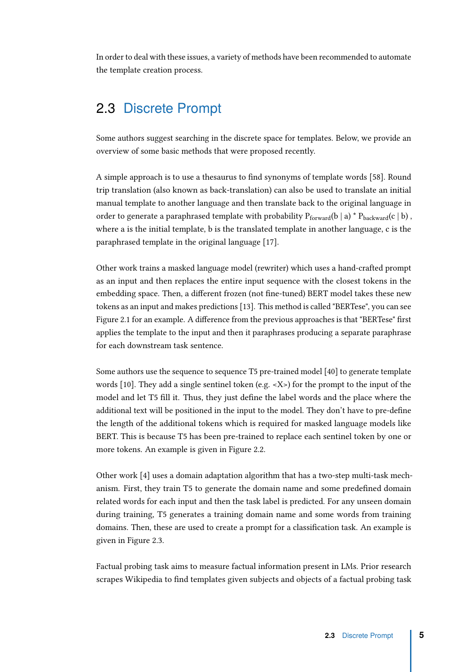In order to deal with these issues, a variety of methods have been recommended to automate the template creation process.

#### 2.3 Discrete Prompt

<span id="page-11-0"></span>Some authors suggest searching in the discrete space for templates. Below, we provide an overview of some basic methods that were proposed recently.

A simple approach is to use a thesaurus to find synonyms of template words [\[58\]](#page-39-1). Round trip translation (also known as back-translation) can also be used to translate an initial manual template to another language and then translate back to the original language in order to generate a paraphrased template with probability  $P_{forward}(b \mid a) * P_{backward}(c \mid b)$ , where a is the initial template, b is the translated template in another language, c is the paraphrased template in the original language [\[17\]](#page-35-0).

Other work trains a masked language model (rewriter) which uses a hand-crafted prompt as an input and then replaces the entire input sequence with the closest tokens in the embedding space. Then, a different frozen (not fine-tuned) BERT model takes these new tokens as an input and makes predictions [\[13\]](#page-35-1). This method is called "BERTese", you can see Figure [2.1](#page-12-0) for an example. A difference from the previous approaches is that "BERTese" first applies the template to the input and then it paraphrases producing a separate paraphrase for each downstream task sentence.

Some authors use the sequence to sequence T5 pre-trained model [\[40\]](#page-37-1) to generate template words [\[10\]](#page-35-2). They add a single sentinel token (e.g. <X>) for the prompt to the input of the model and let T5 fill it. Τhus, they just define the label words and the place where the additional text will be positioned in the input to the model. They don't have to pre-define the length of the additional tokens which is required for masked language models like BERT. This is because T5 has been pre-trained to replace each sentinel token by one or more tokens. An example is given in Figure [2.2.](#page-13-0)

Other work [\[4\]](#page-34-5) uses a domain adaptation algorithm that has a two-step multi-task mechanism. First, they train T5 to generate the domain name and some predefined domain related words for each input and then the task label is predicted. For any unseen domain during training, T5 generates a training domain name and some words from training domains. Then, these are used to create a prompt for a classification task. An example is given in Figure [2.3.](#page-13-1)

Factual probing task aims to measure factual information present in LMs. Prior research scrapes Wikipedia to find templates given subjects and objects of a factual probing task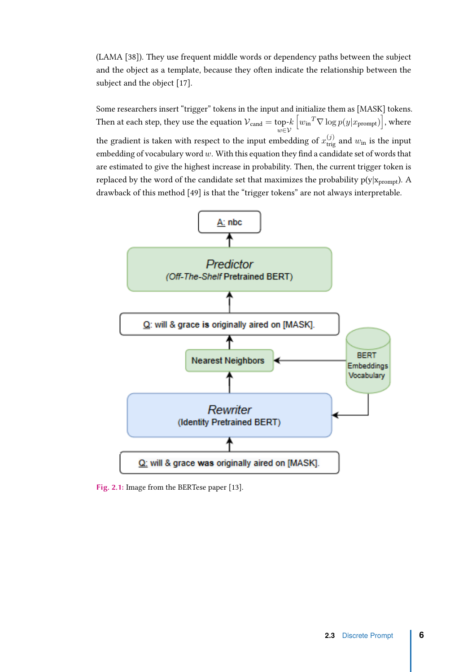(LAMA [\[38\]](#page-37-2)). They use frequent middle words or dependency paths between the subject and the object as a template, because they often indicate the relationship between the subject and the object [\[17\]](#page-35-0).

Some researchers insert "trigger" tokens in the input and initialize them as [MASK] tokens. Then at each step, they use the equation  ${\cal V}_{\rm cand}=$  top- $k$ *w*∈V  $[w_{\text{in}}^T \nabla \log p(y|x_{\text{prompt}})]$ , where the gradient is taken with respect to the input embedding of  $x_{\text{trig}}^{(j)}$  and  $w_{\text{in}}$  is the input embedding of vocabulary word *w*. With this equation they find a candidate set of words that are estimated to give the highest increase in probability. Then, the current trigger token is replaced by the word of the candidate set that maximizes the probability  $p(y|x_{\text{prompt}})$ . A drawback of this method [\[49\]](#page-38-3) is that the "trigger tokens" are not always interpretable.

<span id="page-12-0"></span>

Fig. 2.1: Image from the BERTese paper [\[13\]](#page-35-1).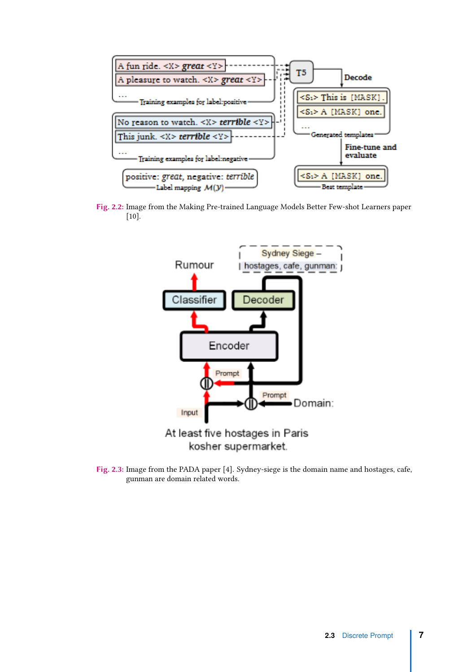<span id="page-13-0"></span>

<span id="page-13-1"></span>Fig. 2.2: Image from the Making Pre-trained Language Models Better Few-shot Learners paper [\[10\]](#page-35-2).



Fig. 2.3: Image from the PADA paper [\[4\]](#page-34-5). Sydney-siege is the domain name and hostages, cafe, gunman are domain related words.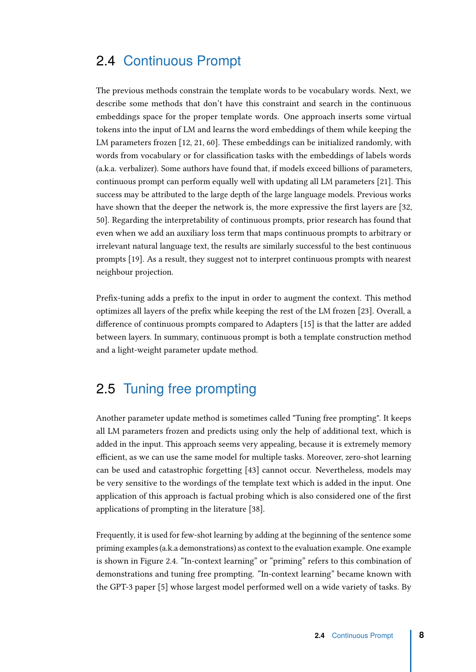#### 2.4 Continuous Prompt

<span id="page-14-0"></span>The previous methods constrain the template words to be vocabulary words. Next, we describe some methods that don't have this constraint and search in the continuous embeddings space for the proper template words. One approach inserts some virtual tokens into the input of LM and learns the word embeddings of them while keeping the LM parameters frozen [\[12,](#page-35-3) [21,](#page-36-2) [60\]](#page-39-2). These embeddings can be initialized randomly, with words from vocabulary or for classification tasks with the embeddings of labels words (a.k.a. verbalizer). Some authors have found that, if models exceed billions of parameters, continuous prompt can perform equally well with updating all LM parameters [\[21\]](#page-36-2). This success may be attributed to the large depth of the large language models. Previous works have shown that the deeper the network is, the more expressive the first layers are [\[32,](#page-37-3) [50\]](#page-38-4). Regarding the interpretability of continuous prompts, prior research has found that even when we add an auxiliary loss term that maps continuous prompts to arbitrary or irrelevant natural language text, the results are similarly successful to the best continuous prompts [\[19\]](#page-36-3). As a result, they suggest not to interpret continuous prompts with nearest neighbour projection.

Prefix-tuning adds a prefix to the input in order to augment the context. This method optimizes all layers of the prefix while keeping the rest of the LM frozen [\[23\]](#page-36-4). Overall, a difference of continuous prompts compared to Adapters [\[15\]](#page-35-4) is that the latter are added between layers. In summary, continuous prompt is both a template construction method and a light-weight parameter update method.

### 2.5 Tuning free prompting

<span id="page-14-1"></span>Another parameter update method is sometimes called "Tuning free prompting". It keeps all LM parameters frozen and predicts using only the help of additional text, which is added in the input. This approach seems very appealing, because it is extremely memory efficient, as we can use the same model for multiple tasks. Moreover, zero-shot learning can be used and catastrophic forgetting [\[43\]](#page-38-5) cannot occur. Nevertheless, models may be very sensitive to the wordings of the template text which is added in the input. One application of this approach is factual probing which is also considered one of the first applications of prompting in the literature [\[38\]](#page-37-2).

Frequently, it is used for few-shot learning by adding at the beginning of the sentence some priming examples (a.k.a demonstrations) as context to the evaluation example. One example is shown in Figure [2.4.](#page-15-0) "In-context learning" or "priming" refers to this combination of demonstrations and tuning free prompting. "In-context learning" became known with the GPT-3 paper [\[5\]](#page-34-2) whose largest model performed well on a wide variety of tasks. By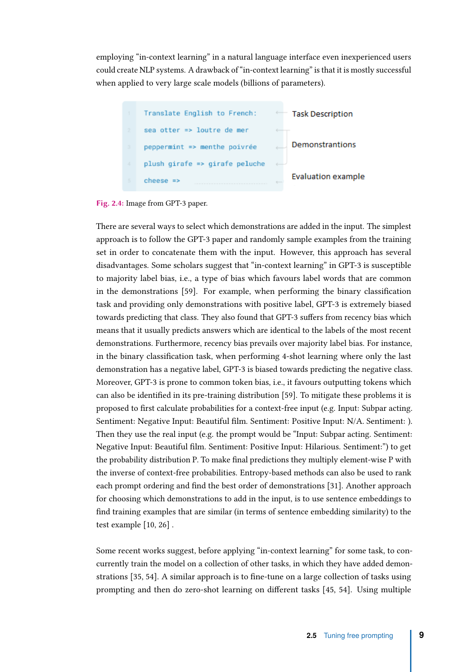employing "in-context learning" in a natural language interface even inexperienced users could create NLP systems. A drawback of "in-context learning" is that it is mostly successful when applied to very large scale models (billions of parameters).

<span id="page-15-0"></span>

Fig. 2.4: Image from GPT-3 paper.

There are several ways to select which demonstrations are added in the input. The simplest approach is to follow the GPT-3 paper and randomly sample examples from the training set in order to concatenate them with the input. However, this approach has several disadvantages. Some scholars suggest that "in-context learning" in GPT-3 is susceptible to majority label bias, i.e., a type of bias which favours label words that are common in the demonstrations [\[59\]](#page-39-3). For example, when performing the binary classification task and providing only demonstrations with positive label, GPT-3 is extremely biased towards predicting that class. They also found that GPT-3 suffers from recency bias which means that it usually predicts answers which are identical to the labels of the most recent demonstrations. Furthermore, recency bias prevails over majority label bias. For instance, in the binary classification task, when performing 4-shot learning where only the last demonstration has a negative label, GPT-3 is biased towards predicting the negative class. Moreover, GPT-3 is prone to common token bias, i.e., it favours outputting tokens which can also be identified in its pre-training distribution [\[59\]](#page-39-3). To mitigate these problems it is proposed to first calculate probabilities for a context-free input (e.g. Input: Subpar acting. Sentiment: Negative Input: Beautiful film. Sentiment: Positive Input: N/A. Sentiment: ). Then they use the real input (e.g. the prompt would be "Input: Subpar acting. Sentiment: Negative Input: Beautiful film. Sentiment: Positive Input: Hilarious. Sentiment:") to get the probability distribution P. To make final predictions they multiply element-wise P with the inverse of context-free probabilities. Entropy-based methods can also be used to rank each prompt ordering and find the best order of demonstrations [\[31\]](#page-37-4). Another approach for choosing which demonstrations to add in the input, is to use sentence embeddings to find training examples that are similar (in terms of sentence embedding similarity) to the test example [\[10,](#page-35-2) [26\]](#page-36-5) .

Some recent works suggest, before applying "in-context learning" for some task, to concurrently train the model on a collection of other tasks, in which they have added demonstrations [\[35,](#page-37-5) [54\]](#page-39-4). A similar approach is to fine-tune on a large collection of tasks using prompting and then do zero-shot learning on different tasks [\[45,](#page-38-6) [54\]](#page-39-4). Using multiple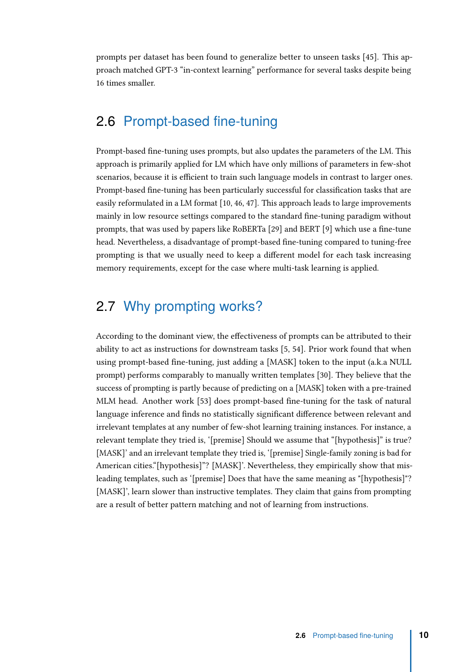prompts per dataset has been found to generalize better to unseen tasks [\[45\]](#page-38-6). This approach matched GPT-3 "in-context learning" performance for several tasks despite being 16 times smaller.

## 2.6 Prompt-based fine-tuning

<span id="page-16-0"></span>Prompt-based fine-tuning uses prompts, but also updates the parameters of the LM. This approach is primarily applied for LM which have only millions of parameters in few-shot scenarios, because it is efficient to train such language models in contrast to larger ones. Prompt-based fine-tuning has been particularly successful for classification tasks that are easily reformulated in a LM format [\[10,](#page-35-2) [46,](#page-38-2) [47\]](#page-38-1). This approach leads to large improvements mainly in low resource settings compared to the standard fine-tuning paradigm without prompts, that was used by papers like RoBERTa [\[29\]](#page-36-6) and BERT [\[9\]](#page-35-5) which use a fine-tune head. Nevertheless, a disadvantage of prompt-based fine-tuning compared to tuning-free prompting is that we usually need to keep a different model for each task increasing memory requirements, except for the case where multi-task learning is applied.

## 2.7 Why prompting works?

<span id="page-16-1"></span>According to the dominant view, the effectiveness of prompts can be attributed to their ability to act as instructions for downstream tasks [\[5,](#page-34-2) [54\]](#page-39-4). Prior work found that when using prompt-based fine-tuning, just adding a [MASK] token to the input (a.k.a NULL prompt) performs comparably to manually written templates [\[30\]](#page-37-6). They believe that the success of prompting is partly because of predicting on a [MASK] token with a pre-trained MLM head. Another work [\[53\]](#page-38-7) does prompt-based fine-tuning for the task of natural language inference and finds no statistically significant difference between relevant and irrelevant templates at any number of few-shot learning training instances. For instance, a relevant template they tried is, '[premise] Should we assume that "[hypothesis]" is true? [MASK]' and an irrelevant template they tried is, '[premise] Single-family zoning is bad for American cities."[hypothesis]"? [MASK]'. Nevertheless, they empirically show that misleading templates, such as '[premise] Does that have the same meaning as "[hypothesis]"? [MASK]', learn slower than instructive templates. They claim that gains from prompting are a result of better pattern matching and not of learning from instructions.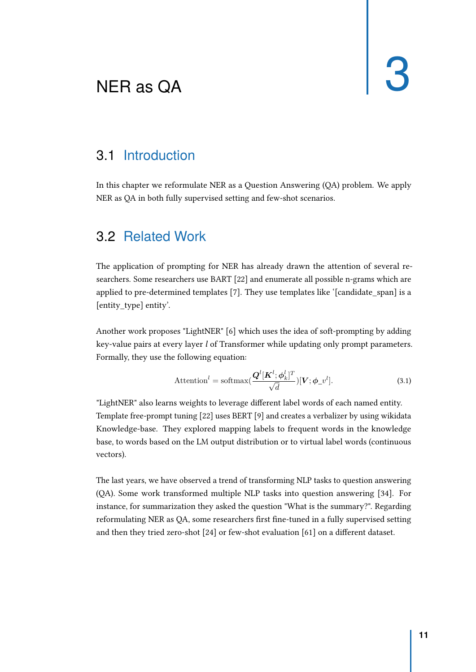# <span id="page-17-3"></span><span id="page-17-0"></span>NER as QA  $\begin{array}{|c|c|c|c|c|}\n\hline\n\text{NER} & \text{a.s.} & \text{A} & \text{B} \\
\hline\n\end{array}$

#### 3.1 Introduction

<span id="page-17-1"></span>In this chapter we reformulate NER as a Question Answering (QA) problem. We apply NER as QA in both fully supervised setting and few-shot scenarios.

#### 3.2 Related Work

<span id="page-17-2"></span>The application of prompting for NER has already drawn the attention of several researchers. Some researchers use BART [\[22\]](#page-36-7) and enumerate all possible n-grams which are applied to pre-determined templates [\[7\]](#page-34-6). They use templates like '[candidate\_span] is a [entity\_type] entity'.

Another work proposes "LightNER" [\[6\]](#page-34-7) which uses the idea of soft-prompting by adding key-value pairs at every layer l of Transformer while updating only prompt parameters. Formally, they use the following equation:

$$
\text{Attention}^{l} = \text{softmax}(\frac{\mathbf{Q}^{l}[\mathbf{K}^{l}; \boldsymbol{\phi}_{k}^{l}]^{T}}{\sqrt{d}})[\mathbf{V}; \boldsymbol{\phi}_{-}v^{l}].
$$
\n(3.1)

"LightNER" also learns weights to leverage different label words of each named entity. Template free-prompt tuning [\[22\]](#page-36-7) uses BERT [\[9\]](#page-35-5) and creates a verbalizer by using wikidata Knowledge-base. They explored mapping labels to frequent words in the knowledge base, to words based on the LM output distribution or to virtual label words (continuous vectors).

The last years, we have observed a trend of transforming NLP tasks to question answering (QA). Some work transformed multiple NLP tasks into question answering [\[34\]](#page-37-7). For instance, for summarization they asked the question "What is the summary?". Regarding reformulating NER as QA, some researchers first fine-tuned in a fully supervised setting and then they tried zero-shot [\[24\]](#page-36-0) or few-shot evaluation [\[61\]](#page-39-0) on a different dataset.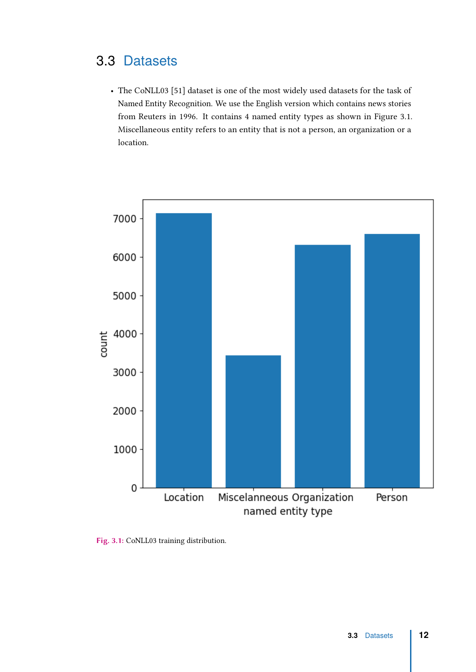## <span id="page-18-0"></span>3.3 Datasets

• The CoNLL03 [\[51\]](#page-38-8) dataset is one of the most widely used datasets for the task of Named Entity Recognition. We use the English version which contains news stories from Reuters in 1996. It contains 4 named entity types as shown in Figure [3.1.](#page-18-1) Miscellaneous entity refers to an entity that is not a person, an organization or a location.

<span id="page-18-1"></span>

Fig. 3.1: CoNLL03 training distribution.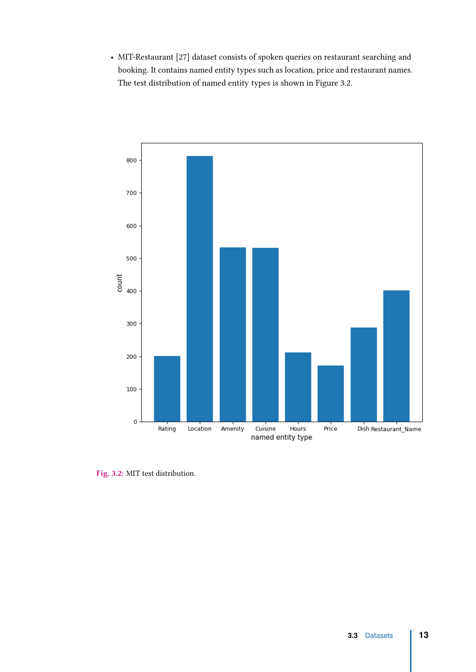• MIT-Restaurant [\[27\]](#page-36-8) dataset consists of spoken queries on restaurant searching and booking. It contains named entity types such as location, price and restaurant names. The test distribution of named entity types is shown in Figure [3.2.](#page-19-0)

<span id="page-19-0"></span>

Fig. 3.2: MIT test distribution.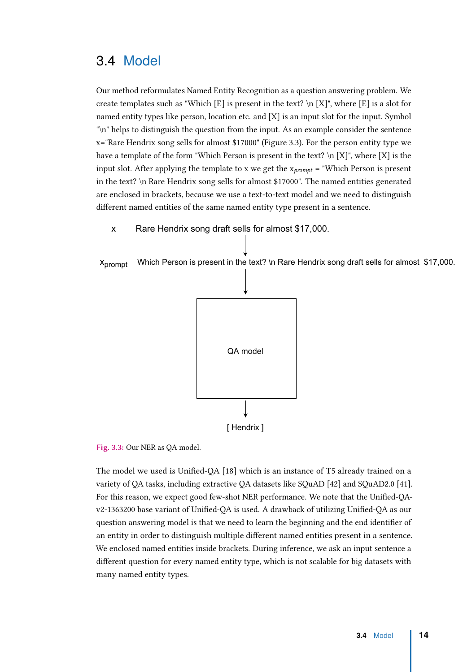#### 3.4 Model

<span id="page-20-0"></span>Our method reformulates Named Entity Recognition as a question answering problem. We create templates such as "Which [E] is present in the text?  $\ln |X|$ ", where [E] is a slot for named entity types like person, location etc. and [X] is an input slot for the input. Symbol "\n" helps to distinguish the question from the input. As an example consider the sentence x="Rare Hendrix song sells for almost \$17000" (Figure [3.3\)](#page-20-1). For the person entity type we have a template of the form "Which Person is present in the text?  $\ln |X|$ ", where  $|X|$  is the input slot. After applying the template to x we get the  $x_{prompt}$  = "Which Person is present in the text? \n Rare Hendrix song sells for almost \$17000". The named entities generated are enclosed in brackets, because we use a text-to-text model and we need to distinguish different named entities of the same named entity type present in a sentence.

<span id="page-20-1"></span>Rare Hendrix song draft sells for almost \$17,000. x



Xprompt

Fig. 3.3: Our NER as QA model.

The model we used is Unified-QA [\[18\]](#page-35-6) which is an instance of T5 already trained on a variety of QA tasks, including extractive QA datasets like SQuAD [\[42\]](#page-38-9) and SQuAD2.0 [\[41\]](#page-37-8). For this reason, we expect good few-shot NER performance. We note that the Unified-QAv2-1363200 base variant of Unified-QA is used. A drawback of utilizing Unified-QA as our question answering model is that we need to learn the beginning and the end identifier of an entity in order to distinguish multiple different named entities present in a sentence. We enclosed named entities inside brackets. During inference, we ask an input sentence a different question for every named entity type, which is not scalable for big datasets with many named entity types.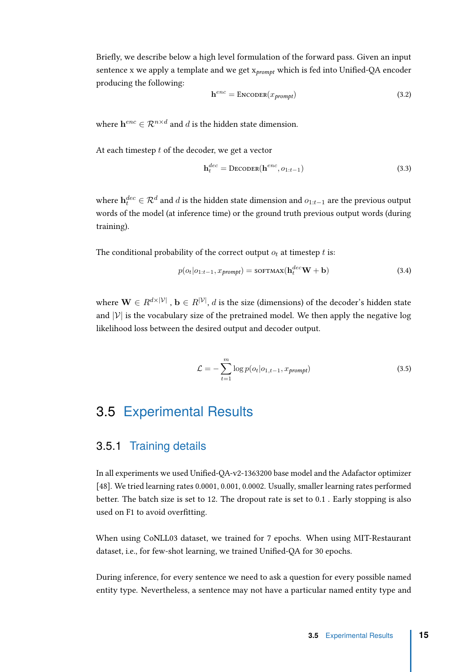Briefly, we describe below a high level formulation of the forward pass. Given an input sentence x we apply a template and we get  $x_{prompt}$  which is fed into Unified-QA encoder producing the following:

<span id="page-21-2"></span>
$$
\mathbf{h}^{enc} = \text{Encoder}(x_{prompt}) \tag{3.2}
$$

where  $\mathbf{h}^{enc} \in \mathcal{R}^{n \times d}$  and *d* is the hidden state dimension.

At each timestep *t* of the decoder, we get a vector

$$
\mathbf{h}_t^{dec} = \text{DECODER}(\mathbf{h}^{enc}, o_{1:t-1})\tag{3.3}
$$

where  $\mathbf{h}^{dec}_{t} \in \mathcal{R}^{d}$  and  $d$  is the hidden state dimension and  $o_{1:t-1}$  are the previous output words of the model (at inference time) or the ground truth previous output words (during training).

The conditional probability of the correct output  $o_t$  at timestep *t* is:

$$
p(o_t|o_{1:t-1}, x_{prompt}) = \text{softmax}(\mathbf{h}_t^{dec}\mathbf{W} + \mathbf{b})
$$
\n(3.4)

where  $\mathbf{W} \in R^{d \times |\mathcal{V}|}$  ,  $\mathbf{b} \in R^{|\mathcal{V}|}$ ,  $d$  is the size (dimensions) of the decoder's hidden state and  $|V|$  is the vocabulary size of the pretrained model. We then apply the negative log likelihood loss between the desired output and decoder output.

<span id="page-21-3"></span>
$$
\mathcal{L} = -\sum_{t=1}^{m} \log p(o_t|o_{1,t-1}, x_{prompt}) \tag{3.5}
$$

## <span id="page-21-0"></span>3.5 Experimental Results

#### <span id="page-21-1"></span>3.5.1 Training details

In all experiments we used Unified-QA-v2-1363200 base model and the Adafactor optimizer [\[48\]](#page-38-10). We tried learning rates 0.0001, 0.001, 0.0002. Usually, smaller learning rates performed better. The batch size is set to 12. The dropout rate is set to 0.1 . Early stopping is also used on F1 to avoid overfitting.

When using CoNLL03 dataset, we trained for 7 epochs. When using MIT-Restaurant dataset, i.e., for few-shot learning, we trained Unified-QA for 30 epochs.

During inference, for every sentence we need to ask a question for every possible named entity type. Nevertheless, a sentence may not have a particular named entity type and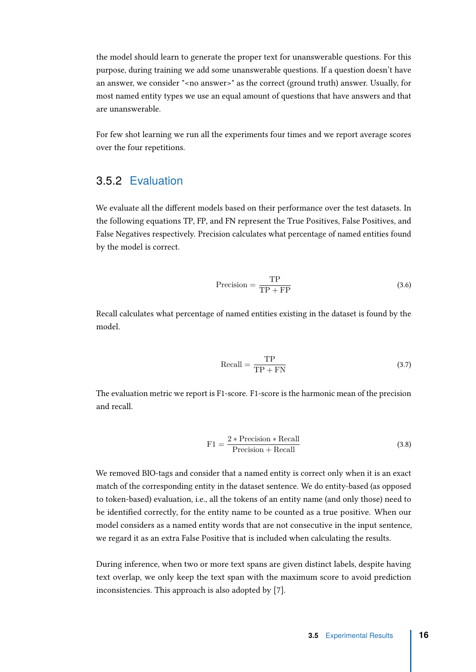the model should learn to generate the proper text for unanswerable questions. For this purpose, during training we add some unanswerable questions. If a question doesn't have an answer, we consider "<no answer>" as the correct (ground truth) answer. Usually, for most named entity types we use an equal amount of questions that have answers and that are unanswerable.

For few shot learning we run all the experiments four times and we report average scores over the four repetitions.

#### <span id="page-22-0"></span>3.5.2 Evaluation

We evaluate all the different models based on their performance over the test datasets. In the following equations TP, FP, and FN represent the True Positives, False Positives, and False Negatives respectively. Precision calculates what percentage of named entities found by the model is correct.

$$
Precision = \frac{TP}{TP + FP}
$$
 (3.6)

Recall calculates what percentage of named entities existing in the dataset is found by the model.

$$
Recall = \frac{TP}{TP + FN}
$$
\n(3.7)

The evaluation metric we report is F1-score. F1-score is the harmonic mean of the precision and recall.

$$
F1 = \frac{2 * Precision * Recall}{Precision + Recall}
$$
 (3.8)

We removed BIO-tags and consider that a named entity is correct only when it is an exact match of the corresponding entity in the dataset sentence. We do entity-based (as opposed to token-based) evaluation, i.e., all the tokens of an entity name (and only those) need to be identified correctly, for the entity name to be counted as a true positive. When our model considers as a named entity words that are not consecutive in the input sentence, we regard it as an extra False Positive that is included when calculating the results.

During inference, when two or more text spans are given distinct labels, despite having text overlap, we only keep the text span with the maximum score to avoid prediction inconsistencies. This approach is also adopted by [\[7\]](#page-34-6).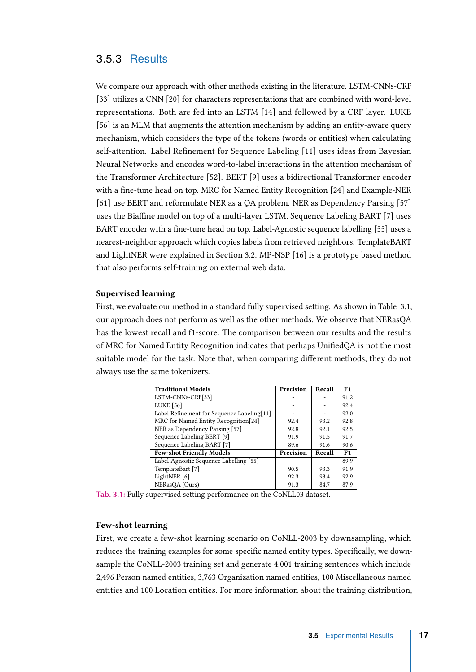#### <span id="page-23-0"></span>3.5.3 Results

We compare our approach with other methods existing in the literature. LSTM-CNNs-CRF [\[33\]](#page-37-9) utilizes a CNN [\[20\]](#page-36-9) for characters representations that are combined with word-level representations. Both are fed into an LSTM [\[14\]](#page-35-7) and followed by a CRF layer. LUKE [\[56\]](#page-39-5) is an MLM that augments the attention mechanism by adding an entity-aware query mechanism, which considers the type of the tokens (words or entities) when calculating self-attention. Label Refinement for Sequence Labeling [\[11\]](#page-35-8) uses ideas from Bayesian Neural Networks and encodes word-to-label interactions in the attention mechanism of the Transformer Architecture [\[52\]](#page-38-11). BERT [\[9\]](#page-35-5) uses a bidirectional Transformer encoder with a fine-tune head on top. MRC for Named Entity Recognition [\[24\]](#page-36-0) and Example-NER [\[61\]](#page-39-0) use BERT and reformulate NER as a QA problem. NER as Dependency Parsing [\[57\]](#page-39-6) uses the Biaffine model on top of a multi-layer LSTM. Sequence Labeling BART [\[7\]](#page-34-6) uses BART encoder with a fine-tune head on top. Label-Agnostic sequence labelling [\[55\]](#page-39-7) uses a nearest-neighbor approach which copies labels from retrieved neighbors. TemplateBART and LightNER were explained in Section [3.2.](#page-17-2) MP-NSP [\[16\]](#page-35-9) is a prototype based method that also performs self-training on external web data.

#### Supervised learning

First, we evaluate our method in a standard fully supervised setting. As shown in Table [3.1,](#page-23-1) our approach does not perform as well as the other methods. We observe that NERasQA has the lowest recall and f1-score. The comparison between our results and the results of MRC for Named Entity Recognition indicates that perhaps UnifiedQA is not the most suitable model for the task. Note that, when comparing different methods, they do not always use the same tokenizers.

<span id="page-23-1"></span>

| <b>Traditional Models</b>                  | Precision | Recall | F1             |
|--------------------------------------------|-----------|--------|----------------|
| LSTM-CNNs-CRF[33]                          |           |        | 91.2           |
| <b>LUKE</b> [56]                           |           |        | 92.4           |
| Label Refinement for Sequence Labeling[11] |           |        | 92.0           |
| MRC for Named Entity Recognition[24]       | 92.4      | 93.2   | 92.8           |
| NER as Dependency Parsing [57]             | 92.8      | 92.1   | 92.5           |
| Sequence Labeling BERT [9]                 | 91.9      | 91.5   | 91.7           |
| Sequence Labeling BART [7]                 | 89.6      | 91.6   | 90.6           |
| <b>Few-shot Friendly Models</b>            | Precision | Recall | F <sub>1</sub> |
| Label-Agnostic Sequence Labelling [55]     |           |        | 89.9           |
| TemplateBart [7]                           | 90.5      | 93.3   | 91.9           |
| LightNER [6]                               | 92.3      | 93.4   | 92.9           |
| NERasQA (Ours)                             | 91.3      | 84.7   | 87.9           |

Tab. 3.1: Fully supervised setting performance on the CoNLL03 dataset.

#### Few-shot learning

First, we create a few-shot learning scenario on CoNLL-2003 by downsampling, which reduces the training examples for some specific named entity types. Specifically, we downsample the CoNLL-2003 training set and generate 4,001 training sentences which include 2,496 Person named entities, 3,763 Organization named entities, 100 Miscellaneous named entities and 100 Location entities. For more information about the training distribution,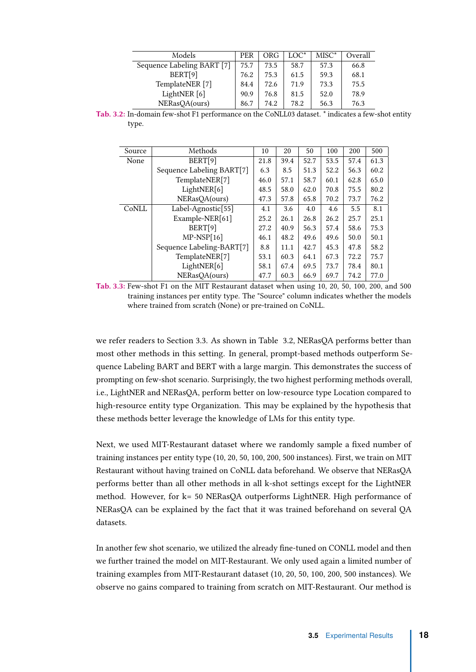<span id="page-24-0"></span>

| Models                     | <b>PER</b> | ORG  | $LOC^*$ | $MISC^*$ | Overall |
|----------------------------|------------|------|---------|----------|---------|
| Sequence Labeling BART [7] | 75.7       | 73.5 | 58.7    | 57.3     | 66.8    |
| BERT[9]                    | 76.2       | 75.3 | 61.5    | 59.3     | 68.1    |
| TemplateNER <sup>[7]</sup> | 84.4       | 72.6 | 71.9    | 73.3     | 75.5    |
| LightNER [6]               | 90.9       | 76.8 | 81.5    | 52.0     | 78.9    |
| NERasQA(ours)              | 86.7       | 74.2 | 78.2    | 56.3     | 76.3    |

Tab. 3.2: In-domain few-shot F1 performance on the CoNLL03 dataset. \* indicates a few-shot entity type.

<span id="page-24-1"></span>

| Source | Methods                        | 10   | 20   | 50   | 100  | 200  | 500  |
|--------|--------------------------------|------|------|------|------|------|------|
| None   | BERT[9]                        | 21.8 | 39.4 | 52.7 | 53.5 | 57.4 | 61.3 |
|        | Sequence Labeling BART[7]      | 6.3  | 8.5  | 51.3 | 52.2 | 56.3 | 60.2 |
|        | TemplateNER[7]                 | 46.0 | 57.1 | 58.7 | 60.1 | 62.8 | 65.0 |
|        | LightNER[6]                    | 48.5 | 58.0 | 62.0 | 70.8 | 75.5 | 80.2 |
|        | NERasQA(ours)                  | 47.3 | 57.8 | 65.8 | 70.2 | 73.7 | 76.2 |
| CoNLL  | Label-Agnostic <sup>[55]</sup> | 4.1  | 3.6  | 4.0  | 4.6  | 5.5  | 8.1  |
|        | Example-NER[61]                | 25.2 | 26.1 | 26.8 | 26.2 | 25.7 | 25.1 |
|        | BERT[9]                        | 27.2 | 40.9 | 56.3 | 57.4 | 58.6 | 75.3 |
|        | $MP-NSP[16]$                   | 46.1 | 48.2 | 49.6 | 49.6 | 50.0 | 50.1 |
|        | Sequence Labeling-BART[7]      | 8.8  | 11.1 | 42.7 | 45.3 | 47.8 | 58.2 |
|        | TemplateNER[7]                 | 53.1 | 60.3 | 64.1 | 67.3 | 72.2 | 75.7 |
|        | LightNER[6]                    | 58.1 | 67.4 | 69.5 | 73.7 | 78.4 | 80.1 |
|        | NERasOA(ours)                  | 47.7 | 60.3 | 66.9 | 69.7 | 74.2 | 77.0 |

Tab. 3.3: Few-shot F1 on the MIT Restaurant dataset when using 10, 20, 50, 100, 200, and 500 training instances per entity type. The "Source" column indicates whether the models where trained from scratch (None) or pre-trained on CoNLL.

we refer readers to Section [3.3.](#page-18-1) As shown in Table [3.2,](#page-24-0) NERasQA performs better than most other methods in this setting. In general, prompt-based methods outperform Sequence Labeling BART and BERT with a large margin. This demonstrates the success of prompting on few-shot scenario. Surprisingly, the two highest performing methods overall, i.e., LightNER and NERasQA, perform better on low-resource type Location compared to high-resource entity type Organization. This may be explained by the hypothesis that these methods better leverage the knowledge of LMs for this entity type.

Next, we used MIT-Restaurant dataset where we randomly sample a fixed number of training instances per entity type (10, 20, 50, 100, 200, 500 instances). First, we train on MIT Restaurant without having trained on CoNLL data beforehand. We observe that NERasQA performs better than all other methods in all k-shot settings except for the LightNER method. However, for k= 50 NERasQA outperforms LightNER. High performance of NERasQA can be explained by the fact that it was trained beforehand on several QA datasets.

In another few shot scenario, we utilized the already fine-tuned on CONLL model and then we further trained the model on MIT-Restaurant. We only used again a limited number of training examples from MIT-Restaurant dataset (10, 20, 50, 100, 200, 500 instances). We observe no gains compared to training from scratch on MIT-Restaurant. Our method is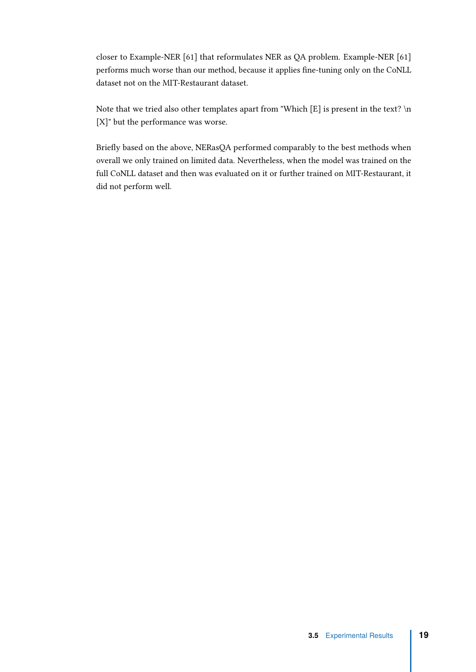closer to Example-NER [\[61\]](#page-39-0) that reformulates NER as QA problem. Example-NER [\[61\]](#page-39-0) performs much worse than our method, because it applies fine-tuning only on the CoNLL dataset not on the MIT-Restaurant dataset.

Note that we tried also other templates apart from "Which [E] is present in the text? \n [X]" but the performance was worse.

Briefly based on the above, NERasQA performed comparably to the best methods when overall we only trained on limited data. Nevertheless, when the model was trained on the full CoNLL dataset and then was evaluated on it or further trained on MIT-Restaurant, it did not perform well.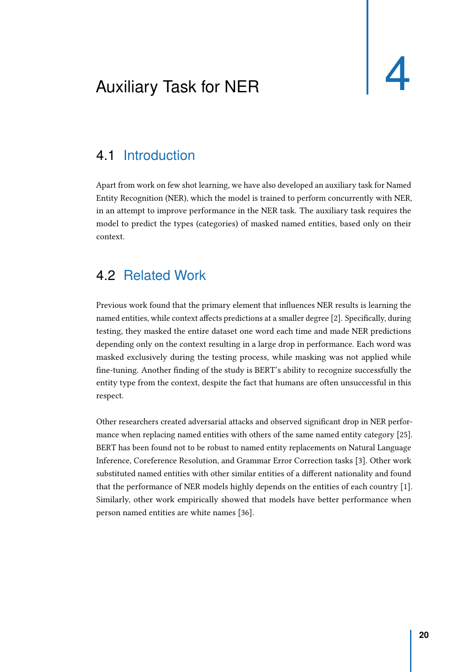# <span id="page-26-3"></span><span id="page-26-0"></span>Auxiliary Task for NER

#### 4.1 Introduction

<span id="page-26-1"></span>Apart from work on few shot learning, we have also developed an auxiliary task for Named Entity Recognition (NER), which the model is trained to perform concurrently with NER, in an attempt to improve performance in the NER task. The auxiliary task requires the model to predict the types (categories) of masked named entities, based only on their context.

#### 4.2 Related Work

<span id="page-26-2"></span>Previous work found that the primary element that influences NER results is learning the named entities, while context affects predictions at a smaller degree [\[2\]](#page-34-3). Specifically, during testing, they masked the entire dataset one word each time and made NER predictions depending only on the context resulting in a large drop in performance. Each word was masked exclusively during the testing process, while masking was not applied while fine-tuning. Another finding of the study is BERT's ability to recognize successfully the entity type from the context, despite the fact that humans are often unsuccessful in this respect.

Other researchers created adversarial attacks and observed significant drop in NER performance when replacing named entities with others of the same named entity category [\[25\]](#page-36-10). BERT has been found not to be robust to named entity replacements on Natural Language Inference, Coreference Resolution, and Grammar Error Correction tasks [\[3\]](#page-34-8). Other work substituted named entities with other similar entities of a different nationality and found that the performance of NER models highly depends on the entities of each country [\[1\]](#page-34-4). Similarly, other work empirically showed that models have better performance when person named entities are white names [\[36\]](#page-37-0).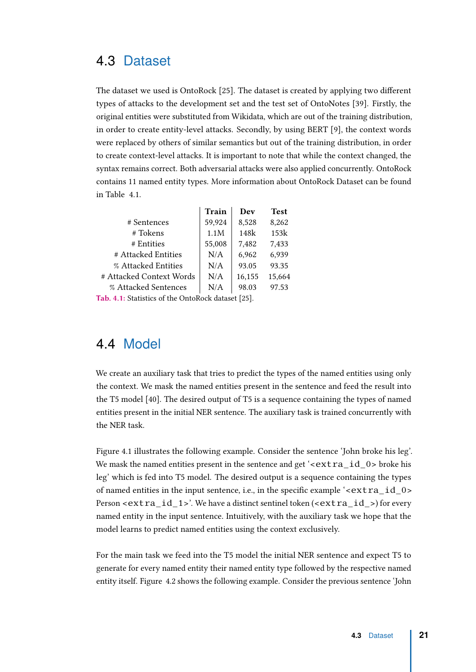#### 4.3 Dataset

<span id="page-27-0"></span>The dataset we used is OntoRock [\[25\]](#page-36-10). The dataset is created by applying two different types of attacks to the development set and the test set of OntoNotes [\[39\]](#page-37-10). Firstly, the original entities were substituted from Wikidata, which are out of the training distribution, in order to create entity-level attacks. Secondly, by using BERT [\[9\]](#page-35-5), the context words were replaced by others of similar semantics but out of the training distribution, in order to create context-level attacks. It is important to note that while the context changed, the syntax remains correct. Both adversarial attacks were also applied concurrently. OntoRock contains 11 named entity types. More information about OntoRock Dataset can be found in Table [4.1.](#page-27-2)

<span id="page-27-2"></span>

|                          | Train  | Dev    | <b>Test</b> |
|--------------------------|--------|--------|-------------|
| # Sentences              | 59,924 | 8,528  | 8,262       |
| # Tokens                 | 1.1M   | 148k   | 153k        |
| # Entities               | 55,008 | 7,482  | 7,433       |
| # Attacked Entities      | N/A    | 6,962  | 6,939       |
| % Attacked Entities      | N/A    | 93.05  | 93.35       |
| # Attacked Context Words | N/A    | 16,155 | 15.664      |
| % Attacked Sentences     | N/A    | 98.03  | 97.53       |
|                          |        |        |             |

Tab. 4.1: Statistics of the OntoRock dataset [\[25\]](#page-36-10).

#### 4.4 Model

<span id="page-27-1"></span>We create an auxiliary task that tries to predict the types of the named entities using only the context. We mask the named entities present in the sentence and feed the result into the T5 model [\[40\]](#page-37-1). The desired output of T5 is a sequence containing the types of named entities present in the initial NER sentence. The auxiliary task is trained concurrently with the NER task.

Figure [4.1](#page-28-2) illustrates the following example. Consider the sentence 'John broke his leg'. We mask the named entities present in the sentence and get ' $\epsilon$ xtra id 0> broke his leg' which is fed into T5 model. The desired output is a sequence containing the types of named entities in the input sentence, i.e., in the specific example ' $\epsilon$ extra id 0> Person  $\leq$  extra id 1>'. We have a distinct sentinel token ( $\leq$  extra id >) for every named entity in the input sentence. Intuitively, with the auxiliary task we hope that the model learns to predict named entities using the context exclusively.

For the main task we feed into the T5 model the initial NER sentence and expect Τ5 to generate for every named entity their named entity type followed by the respective named entity itself. Figure [4.2](#page-29-1) shows the following example. Consider the previous sentence 'John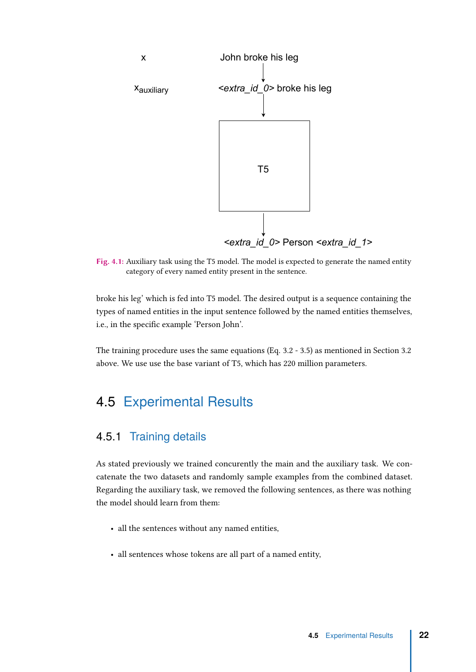<span id="page-28-2"></span>

Fig. 4.1: Auxiliary task using the T5 model. The model is expected to generate the named entity category of every named entity present in the sentence.

broke his leg' which is fed into T5 model. The desired output is a sequence containing the types of named entities in the input sentence followed by the named entities themselves, i.e., in the specific example 'Person John'.

The training procedure uses the same equations (Eq. [3.2](#page-21-2) - [3.5\)](#page-21-3) as mentioned in Section 3.2 above. We use use the base variant of T5, which has 220 million parameters.

#### <span id="page-28-0"></span>4.5 Experimental Results

#### <span id="page-28-1"></span>4.5.1 Training details

As stated previously we trained concurently the main and the auxiliary task. We concatenate the two datasets and randomly sample examples from the combined dataset. Regarding the auxiliary task, we removed the following sentences, as there was nothing the model should learn from them:

- all the sentences without any named entities,
- all sentences whose tokens are all part of a named entity,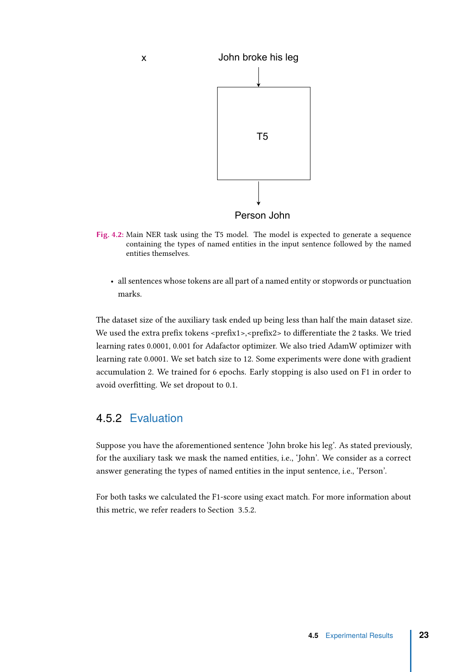<span id="page-29-1"></span>

- Fig. 4.2: Main NER task using the T5 model. The model is expected to generate a sequence containing the types of named entities in the input sentence followed by the named entities themselves.
	- all sentences whose tokens are all part of a named entity or stopwords or punctuation marks.

The dataset size of the auxiliary task ended up being less than half the main dataset size. We used the extra prefix tokens <prefix1>,<prefix2> to differentiate the 2 tasks. We tried learning rates 0.0001, 0.001 for Adafactor optimizer. We also tried AdamW optimizer with learning rate 0.0001. We set batch size to 12. Some experiments were done with gradient accumulation 2. We trained for 6 epochs. Early stopping is also used on F1 in order to avoid overfitting. We set dropout to 0.1.

#### <span id="page-29-0"></span>4.5.2 Evaluation

Suppose you have the aforementioned sentence 'John broke his leg'. As stated previously, for the auxiliary task we mask the named entities, i.e., 'John'. We consider as a correct answer generating the types of named entities in the input sentence, i.e., 'Person'.

For both tasks we calculated the F1-score using exact match. For more information about this metric, we refer readers to Section [3.5.2.](#page-22-0)

**4.5** Experimental Results **23**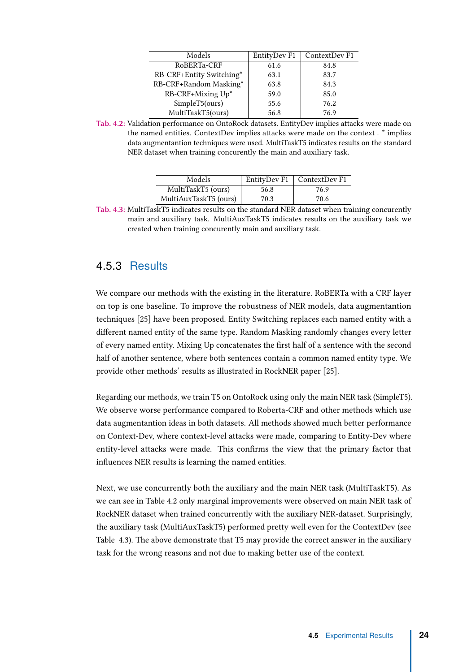<span id="page-30-1"></span>

| Models                   | EntityDev F1 | ContextDev F1 |
|--------------------------|--------------|---------------|
| RoBERTa-CRF              | 61.6         | 84.8          |
| RB-CRF+Entity Switching* | 63.1         | 83.7          |
| RB-CRF+Random Masking*   | 63.8         | 84.3          |
| RB-CRF+Mixing Up*        | 59.0         | 85.0          |
| SimpleT5(ours)           | 55.6         | 76.2          |
| MultiTaskT5(ours)        | 56.8         | 76.9          |

Tab. 4.2: Validation performance on OntoRock datasets. EntityDev implies attacks were made on the named entities. ContextDev implies attacks were made on the context . \* implies data augmentantion techniques were used. MultiTaskT5 indicates results on the standard NER dataset when training concurently the main and auxiliary task.

| Models                |      | EntityDev F1   ContextDev F1 |
|-----------------------|------|------------------------------|
| MultiTaskT5 (ours)    | 56.8 | 76.9                         |
| MultiAuxTaskT5 (ours) | 70.3 | 70.6                         |

<span id="page-30-2"></span>Tab. 4.3: MultiTaskT5 indicates results on the standard NER dataset when training concurently main and auxiliary task. MultiAuxTaskT5 indicates results on the auxiliary task we created when training concurently main and auxiliary task.

#### <span id="page-30-0"></span>4.5.3 Results

We compare our methods with the existing in the literature. RoBERTa with a CRF layer on top is one baseline. To improve the robustness of NER models, data augmentantion techniques [\[25\]](#page-36-10) have been proposed. Entity Switching replaces each named entity with a different named entity of the same type. Random Masking randomly changes every letter of every named entity. Mixing Up concatenates the first half of a sentence with the second half of another sentence, where both sentences contain a common named entity type. We provide other methods' results as illustrated in RockNER paper [\[25\]](#page-36-10).

Regarding our methods, we train T5 on OntoRock using only the main NER task (SimpleT5). We observe worse performance compared to Roberta-CRF and other methods which use data augmentantion ideas in both datasets. All methods showed much better performance on Context-Dev, where context-level attacks were made, comparing to Entity-Dev where entity-level attacks were made. This confirms the view that the primary factor that influences NER results is learning the named entities.

Next, we use concurrently both the auxiliary and the main NER task (MultiTaskT5). As we can see in Table [4.2](#page-30-1) only marginal improvements were observed on main NER task of RockNER dataset when trained concurrently with the auxiliary NER-dataset. Surprisingly, the auxiliary task (MultiAuxTaskT5) performed pretty well even for the ContextDev (see Table [4.3\)](#page-30-2). The above demonstrate that T5 may provide the correct answer in the auxiliary task for the wrong reasons and not due to making better use of the context.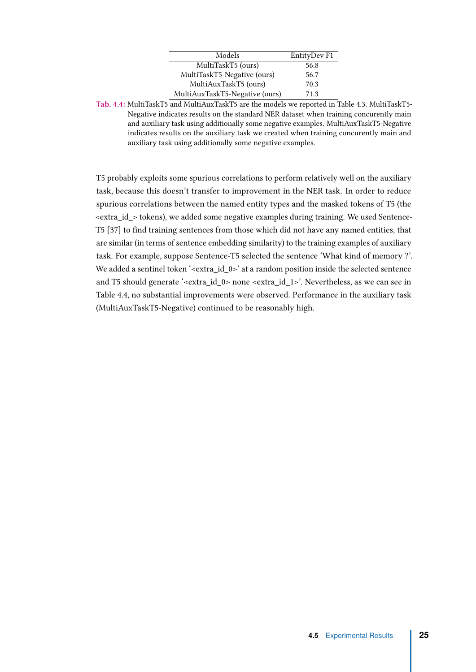| Models                         | EntityDev F1 |
|--------------------------------|--------------|
| MultiTaskT5 (ours)             | 56.8         |
| MultiTaskT5-Negative (ours)    | 56.7         |
| MultiAuxTaskT5 (ours)          | 70.3         |
| MultiAuxTaskT5-Negative (ours) | 71.3         |

<span id="page-31-0"></span>Tab. 4.4: MultiTaskT5 and MultiAuxTaskT5 are the models we reported in Table [4.3.](#page-30-2) MultiTaskT5- Negative indicates results on the standard NER dataset when training concurently main and auxiliary task using additionally some negative examples. MultiAuxTaskT5-Negative indicates results on the auxiliary task we created when training concurently main and auxiliary task using additionally some negative examples.

T5 probably exploits some spurious correlations to perform relatively well on the auxiliary task, because this doesn't transfer to improvement in the NER task. In order to reduce spurious correlations between the named entity types and the masked tokens of T5 (the  $\epsilon$  -extra id  $>$  tokens), we added some negative examples during training. We used Sentence-T5 [\[37\]](#page-37-11) to find training sentences from those which did not have any named entities, that are similar (in terms of sentence embedding similarity) to the training examples of auxiliary task. For example, suppose Sentence-T5 selected the sentence 'What kind of memory ?'. We added a sentinel token '<extra\_id\_0>' at a random position inside the selected sentence and T5 should generate '<extra\_id\_0> none <extra\_id\_1>'. Nevertheless, as we can see in Table [4.4,](#page-31-0) no substantial improvements were observed. Performance in the auxiliary task (MultiAuxTaskT5-Negative) continued to be reasonably high.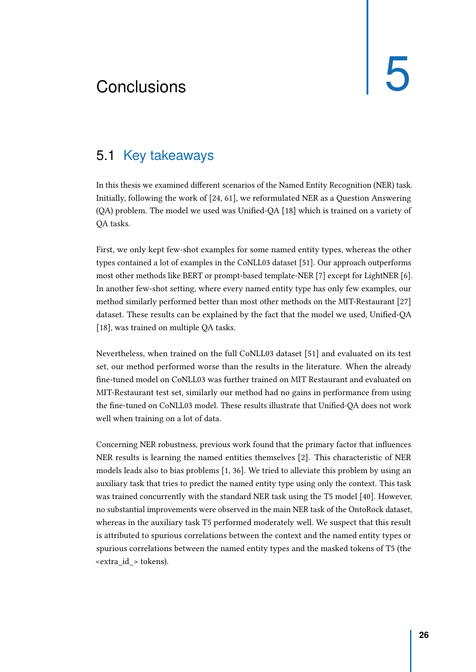# <span id="page-32-2"></span><span id="page-32-0"></span>Conclusions 5

### 5.1 Key takeaways

<span id="page-32-1"></span>In this thesis we examined different scenarios of the Named Entity Recognition (NER) task. Initially, following the work of [\[24,](#page-36-0) [61\]](#page-39-0), we reformulated NER as a Question Answering (QA) problem. The model we used was Unified-QA [\[18\]](#page-35-6) which is trained on a variety of QA tasks.

First, we only kept few-shot examples for some named entity types, whereas the other types contained a lot of examples in the CoNLL03 dataset [\[51\]](#page-38-8). Our approach outperforms most other methods like BERT or prompt-based template-NER [\[7\]](#page-34-6) except for LightNER [\[6\]](#page-34-7). In another few-shot setting, where every named entity type has only few examples, our method similarly performed better than most other methods on the MIT-Restaurant [\[27\]](#page-36-8) dataset. These results can be explained by the fact that the model we used, Unified-QA [\[18\]](#page-35-6), was trained on multiple QA tasks.

Nevertheless, when trained on the full CoNLL03 dataset [\[51\]](#page-38-8) and evaluated on its test set, our method performed worse than the results in the literature. When the already fine-tuned model on CoNLL03 was further trained on MIT Restaurant and evaluated on MIT-Restaurant test set, similarly our method had no gains in performance from using the fine-tuned on CoNLL03 model. These results illustrate that Unified-QA does not work well when training on a lot of data.

Concerning NER robustness, previous work found that the primary factor that influences NER results is learning the named entities themselves [\[2\]](#page-34-3). This characteristic of NER models leads also to bias problems [\[1,](#page-34-4) [36\]](#page-37-0). We tried to alleviate this problem by using an auxiliary task that tries to predict the named entity type using only the context. This task was trained concurrently with the standard NER task using the T5 model [\[40\]](#page-37-1). However, no substantial improvements were observed in the main NER task of the OntoRock dataset, whereas in the auxiliary task T5 performed moderately well. We suspect that this result is attributed to spurious correlations between the context and the named entity types or spurious correlations between the named entity types and the masked tokens of T5 (the <extra\_id\_> tokens).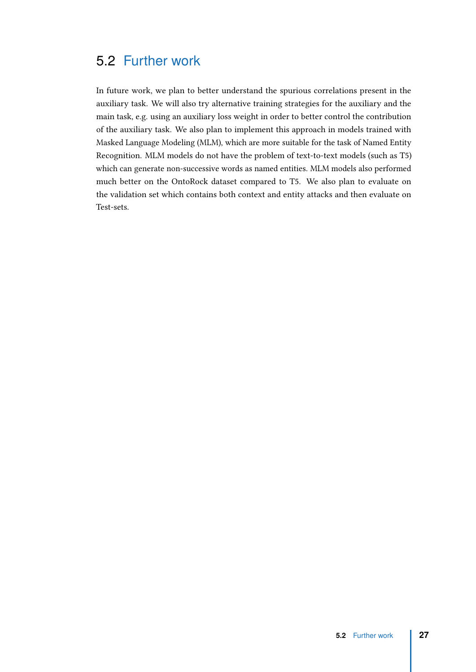## 5.2 Further work

<span id="page-33-0"></span>In future work, we plan to better understand the spurious correlations present in the auxiliary task. We will also try alternative training strategies for the auxiliary and the main task, e.g. using an auxiliary loss weight in order to better control the contribution of the auxiliary task. We also plan to implement this approach in models trained with Masked Language Modeling (MLM), which are more suitable for the task of Named Entity Recognition. MLM models do not have the problem of text-to-text models (such as T5) which can generate non-successive words as named entities. MLM models also performed much better on the OntoRock dataset compared to T5. We also plan to evaluate on the validation set which contains both context and entity attacks and then evaluate on Test-sets.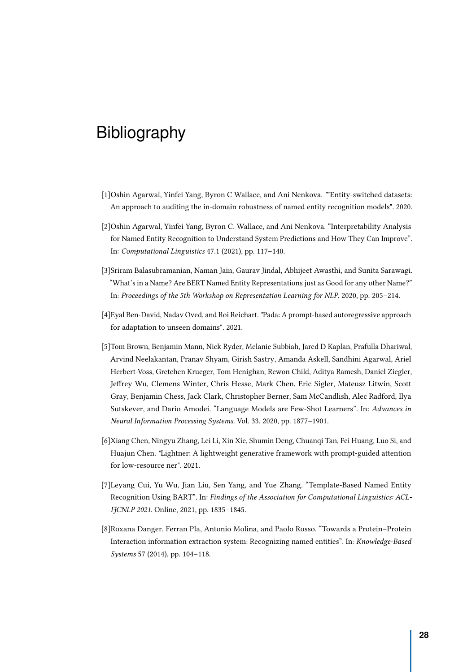# <span id="page-34-0"></span>Bibliography

- <span id="page-34-4"></span>[1]Oshin Agarwal, Yinfei Yang, Byron C Wallace, and Ani Nenkova. ""Entity-switched datasets: An approach to auditing the in-domain robustness of named entity recognition models". 2020.
- <span id="page-34-3"></span>[2]Oshin Agarwal, Yinfei Yang, Byron C. Wallace, and Ani Nenkova. "Interpretability Analysis for Named Entity Recognition to Understand System Predictions and How They Can Improve". In: Computational Linguistics 47.1 (2021), pp. 117–140.
- <span id="page-34-8"></span>[3]Sriram Balasubramanian, Naman Jain, Gaurav Jindal, Abhijeet Awasthi, and Sunita Sarawagi. "What's in a Name? Are BERT Named Entity Representations just as Good for any other Name?" In: Proceedings of the 5th Workshop on Representation Learning for NLP. 2020, pp. 205–214.
- <span id="page-34-5"></span>[4]Eyal Ben-David, Nadav Oved, and Roi Reichart. "Pada: A prompt-based autoregressive approach for adaptation to unseen domains". 2021.
- <span id="page-34-2"></span>[5]Tom Brown, Benjamin Mann, Nick Ryder, Melanie Subbiah, Jared D Kaplan, Prafulla Dhariwal, Arvind Neelakantan, Pranav Shyam, Girish Sastry, Amanda Askell, Sandhini Agarwal, Ariel Herbert-Voss, Gretchen Krueger, Tom Henighan, Rewon Child, Aditya Ramesh, Daniel Ziegler, Jeffrey Wu, Clemens Winter, Chris Hesse, Mark Chen, Eric Sigler, Mateusz Litwin, Scott Gray, Benjamin Chess, Jack Clark, Christopher Berner, Sam McCandlish, Alec Radford, Ilya Sutskever, and Dario Amodei. "Language Models are Few-Shot Learners". In: Advances in Neural Information Processing Systems. Vol. 33. 2020, pp. 1877–1901.
- <span id="page-34-7"></span>[6]Xiang Chen, Ningyu Zhang, Lei Li, Xin Xie, Shumin Deng, Chuanqi Tan, Fei Huang, Luo Si, and Huajun Chen. "Lightner: A lightweight generative framework with prompt-guided attention for low-resource ner". 2021.
- <span id="page-34-6"></span>[7]Leyang Cui, Yu Wu, Jian Liu, Sen Yang, and Yue Zhang. "Template-Based Named Entity Recognition Using BART". In: Findings of the Association for Computational Linguistics: ACL-IJCNLP 2021. Online, 2021, pp. 1835–1845.
- <span id="page-34-1"></span>[8]Roxana Danger, Ferran Pla, Antonio Molina, and Paolo Rosso. "Towards a Protein–Protein Interaction information extraction system: Recognizing named entities". In: Knowledge-Based Systems 57 (2014), pp. 104–118.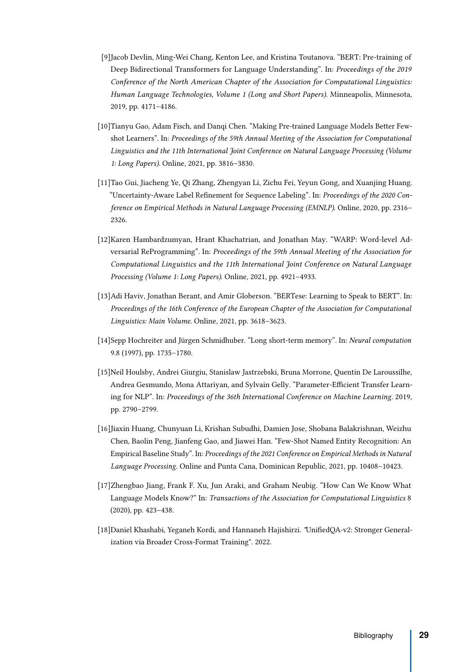- <span id="page-35-5"></span>[9]Jacob Devlin, Ming-Wei Chang, Kenton Lee, and Kristina Toutanova. "BERT: Pre-training of Deep Bidirectional Transformers for Language Understanding". In: Proceedings of the 2019 Conference of the North American Chapter of the Association for Computational Linguistics: Human Language Technologies, Volume 1 (Long and Short Papers). Minneapolis, Minnesota, 2019, pp. 4171–4186.
- <span id="page-35-2"></span>[10]Tianyu Gao, Adam Fisch, and Danqi Chen. "Making Pre-trained Language Models Better Fewshot Learners". In: Proceedings of the 59th Annual Meeting of the Association for Computational Linguistics and the 11th International Joint Conference on Natural Language Processing (Volume 1: Long Papers). Online, 2021, pp. 3816–3830.
- <span id="page-35-8"></span>[11]Tao Gui, Jiacheng Ye, Qi Zhang, Zhengyan Li, Zichu Fei, Yeyun Gong, and Xuanjing Huang. "Uncertainty-Aware Label Refinement for Sequence Labeling". In: Proceedings of the 2020 Conference on Empirical Methods in Natural Language Processing (EMNLP). Online, 2020, pp. 2316– 2326.
- <span id="page-35-3"></span>[12]Karen Hambardzumyan, Hrant Khachatrian, and Jonathan May. "WARP: Word-level Adversarial ReProgramming". In: Proceedings of the 59th Annual Meeting of the Association for Computational Linguistics and the 11th International Joint Conference on Natural Language Processing (Volume 1: Long Papers). Online, 2021, pp. 4921–4933.
- <span id="page-35-1"></span>[13]Adi Haviv, Jonathan Berant, and Amir Globerson. "BERTese: Learning to Speak to BERT". In: Proceedings of the 16th Conference of the European Chapter of the Association for Computational Linguistics: Main Volume. Online, 2021, pp. 3618–3623.
- <span id="page-35-7"></span>[14]Sepp Hochreiter and Jürgen Schmidhuber. "Long short-term memory". In: Neural computation 9.8 (1997), pp. 1735–1780.
- <span id="page-35-4"></span>[15]Neil Houlsby, Andrei Giurgiu, Stanislaw Jastrzebski, Bruna Morrone, Quentin De Laroussilhe, Andrea Gesmundo, Mona Attariyan, and Sylvain Gelly. "Parameter-Efficient Transfer Learning for NLP". In: Proceedings of the 36th International Conference on Machine Learning. 2019, pp. 2790–2799.
- <span id="page-35-9"></span>[16]Jiaxin Huang, Chunyuan Li, Krishan Subudhi, Damien Jose, Shobana Balakrishnan, Weizhu Chen, Baolin Peng, Jianfeng Gao, and Jiawei Han. "Few-Shot Named Entity Recognition: An Empirical Baseline Study". In: Proceedings of the 2021 Conference on Empirical Methods in Natural Language Processing. Online and Punta Cana, Dominican Republic, 2021, pp. 10408–10423.
- <span id="page-35-0"></span>[17]Zhengbao Jiang, Frank F. Xu, Jun Araki, and Graham Neubig. "How Can We Know What Language Models Know?" In: Transactions of the Association for Computational Linguistics 8 (2020), pp. 423–438.
- <span id="page-35-6"></span>[18]Daniel Khashabi, Yeganeh Kordi, and Hannaneh Hajishirzi. "UnifiedQA-v2: Stronger Generalization via Broader Cross-Format Training". 2022.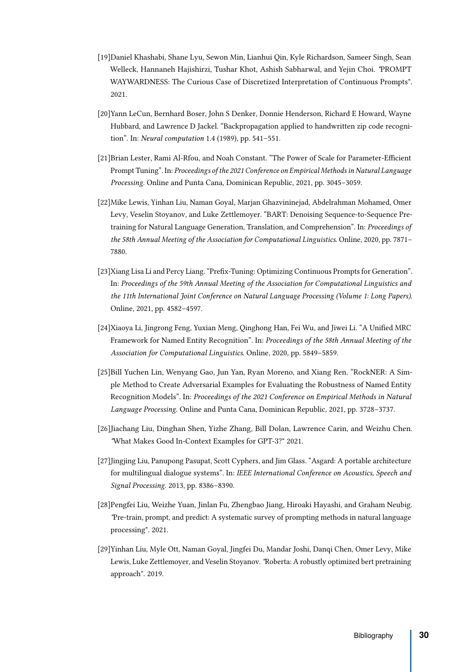- <span id="page-36-3"></span>[19]Daniel Khashabi, Shane Lyu, Sewon Min, Lianhui Qin, Kyle Richardson, Sameer Singh, Sean Welleck, Hannaneh Hajishirzi, Tushar Khot, Ashish Sabharwal, and Yejin Choi. "PROMPT WAYWARDNESS: The Curious Case of Discretized Interpretation of Continuous Prompts". 2021.
- <span id="page-36-9"></span>[20]Yann LeCun, Bernhard Boser, John S Denker, Donnie Henderson, Richard E Howard, Wayne Hubbard, and Lawrence D Jackel. "Backpropagation applied to handwritten zip code recognition". In: Neural computation 1.4 (1989), pp. 541–551.
- <span id="page-36-2"></span>[21]Brian Lester, Rami Al-Rfou, and Noah Constant. "The Power of Scale for Parameter-Efficient Prompt Tuning". In: Proceedings of the 2021 Conference on Empirical Methods in Natural Language Processing. Online and Punta Cana, Dominican Republic, 2021, pp. 3045–3059.
- <span id="page-36-7"></span>[22]Mike Lewis, Yinhan Liu, Naman Goyal, Marjan Ghazvininejad, Abdelrahman Mohamed, Omer Levy, Veselin Stoyanov, and Luke Zettlemoyer. "BART: Denoising Sequence-to-Sequence Pretraining for Natural Language Generation, Translation, and Comprehension". In: Proceedings of the 58th Annual Meeting of the Association for Computational Linguistics. Online, 2020, pp. 7871– 7880.
- <span id="page-36-4"></span>[23]Xiang Lisa Li and Percy Liang. "Prefix-Tuning: Optimizing Continuous Prompts for Generation". In: Proceedings of the 59th Annual Meeting of the Association for Computational Linguistics and the 11th International Joint Conference on Natural Language Processing (Volume 1: Long Papers). Online, 2021, pp. 4582–4597.
- <span id="page-36-0"></span>[24]Xiaoya Li, Jingrong Feng, Yuxian Meng, Qinghong Han, Fei Wu, and Jiwei Li. "A Unified MRC Framework for Named Entity Recognition". In: Proceedings of the 58th Annual Meeting of the Association for Computational Linguistics. Online, 2020, pp. 5849–5859.
- <span id="page-36-10"></span>[25]Bill Yuchen Lin, Wenyang Gao, Jun Yan, Ryan Moreno, and Xiang Ren. "RockNER: A Simple Method to Create Adversarial Examples for Evaluating the Robustness of Named Entity Recognition Models". In: Proceedings of the 2021 Conference on Empirical Methods in Natural Language Processing. Online and Punta Cana, Dominican Republic, 2021, pp. 3728–3737.
- <span id="page-36-5"></span>[26]Jiachang Liu, Dinghan Shen, Yizhe Zhang, Bill Dolan, Lawrence Carin, and Weizhu Chen. "What Makes Good In-Context Examples for GPT-3?" 2021.
- <span id="page-36-8"></span>[27]Jingjing Liu, Panupong Pasupat, Scott Cyphers, and Jim Glass. "Asgard: A portable architecture for multilingual dialogue systems". In: IEEE International Conference on Acoustics, Speech and Signal Processing. 2013, pp. 8386–8390.
- <span id="page-36-1"></span>[28]Pengfei Liu, Weizhe Yuan, Jinlan Fu, Zhengbao Jiang, Hiroaki Hayashi, and Graham Neubig. "Pre-train, prompt, and predict: A systematic survey of prompting methods in natural language processing". 2021.
- <span id="page-36-6"></span>[29]Yinhan Liu, Myle Ott, Naman Goyal, Jingfei Du, Mandar Joshi, Danqi Chen, Omer Levy, Mike Lewis, Luke Zettlemoyer, and Veselin Stoyanov. "Roberta: A robustly optimized bert pretraining approach". 2019.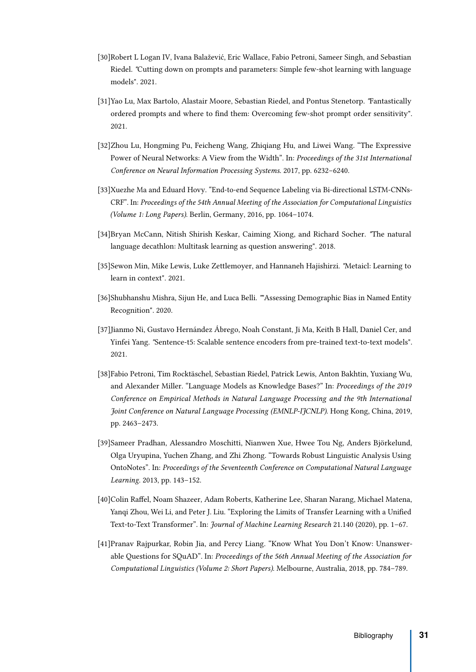- <span id="page-37-6"></span>[30]Robert L Logan IV, Ivana Balažević, Eric Wallace, Fabio Petroni, Sameer Singh, and Sebastian Riedel. "Cutting down on prompts and parameters: Simple few-shot learning with language models". 2021.
- <span id="page-37-4"></span>[31]Yao Lu, Max Bartolo, Alastair Moore, Sebastian Riedel, and Pontus Stenetorp. "Fantastically ordered prompts and where to find them: Overcoming few-shot prompt order sensitivity". 2021.
- <span id="page-37-3"></span>[32]Zhou Lu, Hongming Pu, Feicheng Wang, Zhiqiang Hu, and Liwei Wang. "The Expressive Power of Neural Networks: A View from the Width". In: Proceedings of the 31st International Conference on Neural Information Processing Systems. 2017, pp. 6232–6240.
- <span id="page-37-9"></span>[33]Xuezhe Ma and Eduard Hovy. "End-to-end Sequence Labeling via Bi-directional LSTM-CNNs-CRF". In: Proceedings of the 54th Annual Meeting of the Association for Computational Linguistics (Volume 1: Long Papers). Berlin, Germany, 2016, pp. 1064–1074.
- <span id="page-37-7"></span>[34]Bryan McCann, Nitish Shirish Keskar, Caiming Xiong, and Richard Socher. "The natural language decathlon: Multitask learning as question answering". 2018.
- <span id="page-37-5"></span>[35]Sewon Min, Mike Lewis, Luke Zettlemoyer, and Hannaneh Hajishirzi. "Metaicl: Learning to learn in context". 2021.
- <span id="page-37-0"></span>[36]Shubhanshu Mishra, Sijun He, and Luca Belli. ""Assessing Demographic Bias in Named Entity Recognition". 2020.
- <span id="page-37-11"></span>[37]Jianmo Ni, Gustavo Hernández Ábrego, Noah Constant, Ji Ma, Keith B Hall, Daniel Cer, and Yinfei Yang. "Sentence-t5: Scalable sentence encoders from pre-trained text-to-text models". 2021.
- <span id="page-37-2"></span>[38]Fabio Petroni, Tim Rocktäschel, Sebastian Riedel, Patrick Lewis, Anton Bakhtin, Yuxiang Wu, and Alexander Miller. "Language Models as Knowledge Bases?" In: Proceedings of the 2019 Conference on Empirical Methods in Natural Language Processing and the 9th International Joint Conference on Natural Language Processing (EMNLP-IJCNLP). Hong Kong, China, 2019, pp. 2463–2473.
- <span id="page-37-10"></span>[39]Sameer Pradhan, Alessandro Moschitti, Nianwen Xue, Hwee Tou Ng, Anders Björkelund, Olga Uryupina, Yuchen Zhang, and Zhi Zhong. "Towards Robust Linguistic Analysis Using OntoNotes". In: Proceedings of the Seventeenth Conference on Computational Natural Language Learning. 2013, pp. 143–152.
- <span id="page-37-1"></span>[40]Colin Raffel, Noam Shazeer, Adam Roberts, Katherine Lee, Sharan Narang, Michael Matena, Yanqi Zhou, Wei Li, and Peter J. Liu. "Exploring the Limits of Transfer Learning with a Unified Text-to-Text Transformer". In: Journal of Machine Learning Research 21.140 (2020), pp. 1–67.
- <span id="page-37-8"></span>[41]Pranav Rajpurkar, Robin Jia, and Percy Liang. "Know What You Don't Know: Unanswerable Questions for SQuAD". In: Proceedings of the 56th Annual Meeting of the Association for Computational Linguistics (Volume 2: Short Papers). Melbourne, Australia, 2018, pp. 784–789.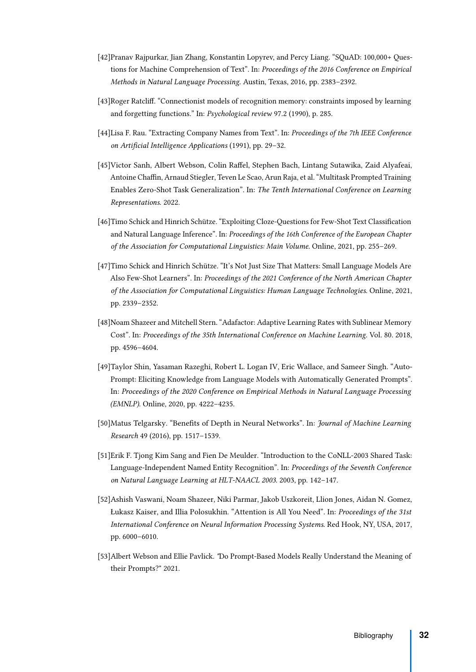- <span id="page-38-9"></span>[42]Pranav Rajpurkar, Jian Zhang, Konstantin Lopyrev, and Percy Liang. "SQuAD: 100,000+ Questions for Machine Comprehension of Text". In: Proceedings of the 2016 Conference on Empirical Methods in Natural Language Processing. Austin, Texas, 2016, pp. 2383–2392.
- <span id="page-38-5"></span>[43]Roger Ratcliff. "Connectionist models of recognition memory: constraints imposed by learning and forgetting functions." In: Psychological review 97.2 (1990), p. 285.
- <span id="page-38-0"></span>[44]Lisa F. Rau. "Extracting Company Names from Text". In: Proceedings of the 7th IEEE Conference on Artificial Intelligence Applications (1991), pp. 29–32.
- <span id="page-38-6"></span>[45]Victor Sanh, Albert Webson, Colin Raffel, Stephen Bach, Lintang Sutawika, Zaid Alyafeai, Antoine Chaffin, Arnaud Stiegler, Teven Le Scao, Arun Raja, et al. "Multitask Prompted Training Enables Zero-Shot Task Generalization". In: The Tenth International Conference on Learning Representations. 2022.
- <span id="page-38-2"></span>[46]Timo Schick and Hinrich Schütze. "Exploiting Cloze-Questions for Few-Shot Text Classification and Natural Language Inference". In: Proceedings of the 16th Conference of the European Chapter of the Association for Computational Linguistics: Main Volume. Online, 2021, pp. 255–269.
- <span id="page-38-1"></span>[47]Timo Schick and Hinrich Schütze. "It's Not Just Size That Matters: Small Language Models Are Also Few-Shot Learners". In: Proceedings of the 2021 Conference of the North American Chapter of the Association for Computational Linguistics: Human Language Technologies. Online, 2021, pp. 2339–2352.
- <span id="page-38-10"></span>[48]Noam Shazeer and Mitchell Stern. "Adafactor: Adaptive Learning Rates with Sublinear Memory Cost". In: Proceedings of the 35th International Conference on Machine Learning. Vol. 80. 2018, pp. 4596–4604.
- <span id="page-38-3"></span>[49]Taylor Shin, Yasaman Razeghi, Robert L. Logan IV, Eric Wallace, and Sameer Singh. "Auto-Prompt: Eliciting Knowledge from Language Models with Automatically Generated Prompts". In: Proceedings of the 2020 Conference on Empirical Methods in Natural Language Processing (EMNLP). Online, 2020, pp. 4222–4235.
- <span id="page-38-4"></span>[50]Matus Telgarsky. "Benefits of Depth in Neural Networks". In: Journal of Machine Learning Research 49 (2016), pp. 1517–1539.
- <span id="page-38-8"></span>[51]Erik F. Tjong Kim Sang and Fien De Meulder. "Introduction to the CoNLL-2003 Shared Task: Language-Independent Named Entity Recognition". In: Proceedings of the Seventh Conference on Natural Language Learning at HLT-NAACL 2003. 2003, pp. 142–147.
- <span id="page-38-11"></span>[52]Ashish Vaswani, Noam Shazeer, Niki Parmar, Jakob Uszkoreit, Llion Jones, Aidan N. Gomez, Łukasz Kaiser, and Illia Polosukhin. "Attention is All You Need". In: Proceedings of the 31st International Conference on Neural Information Processing Systems. Red Hook, NY, USA, 2017, pp. 6000–6010.
- <span id="page-38-7"></span>[53]Albert Webson and Ellie Pavlick. "Do Prompt-Based Models Really Understand the Meaning of their Prompts?" 2021.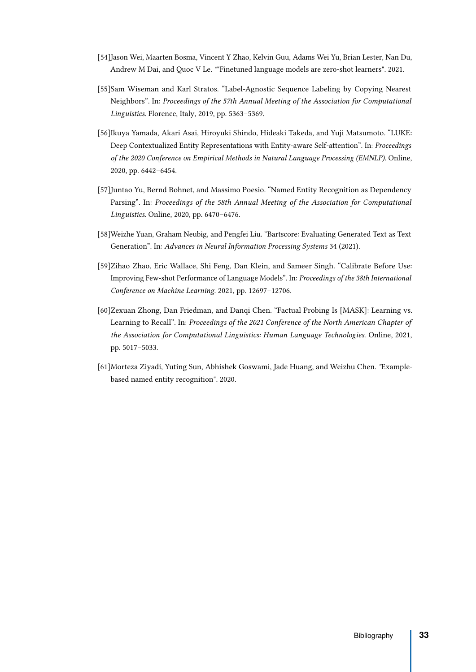- <span id="page-39-4"></span>[54]Jason Wei, Maarten Bosma, Vincent Y Zhao, Kelvin Guu, Adams Wei Yu, Brian Lester, Nan Du, Andrew M Dai, and Quoc V Le. ""Finetuned language models are zero-shot learners". 2021.
- <span id="page-39-7"></span>[55]Sam Wiseman and Karl Stratos. "Label-Agnostic Sequence Labeling by Copying Nearest Neighbors". In: Proceedings of the 57th Annual Meeting of the Association for Computational Linguistics. Florence, Italy, 2019, pp. 5363–5369.
- <span id="page-39-5"></span>[56]Ikuya Yamada, Akari Asai, Hiroyuki Shindo, Hideaki Takeda, and Yuji Matsumoto. "LUKE: Deep Contextualized Entity Representations with Entity-aware Self-attention". In: Proceedings of the 2020 Conference on Empirical Methods in Natural Language Processing (EMNLP). Online, 2020, pp. 6442–6454.
- <span id="page-39-6"></span>[57]Juntao Yu, Bernd Bohnet, and Massimo Poesio. "Named Entity Recognition as Dependency Parsing". In: Proceedings of the 58th Annual Meeting of the Association for Computational Linguistics. Online, 2020, pp. 6470–6476.
- <span id="page-39-1"></span>[58]Weizhe Yuan, Graham Neubig, and Pengfei Liu. "Bartscore: Evaluating Generated Text as Text Generation". In: Advances in Neural Information Processing Systems 34 (2021).
- <span id="page-39-3"></span>[59]Zihao Zhao, Eric Wallace, Shi Feng, Dan Klein, and Sameer Singh. "Calibrate Before Use: Improving Few-shot Performance of Language Models". In: Proceedings of the 38th International Conference on Machine Learning. 2021, pp. 12697–12706.
- <span id="page-39-2"></span>[60]Zexuan Zhong, Dan Friedman, and Danqi Chen. "Factual Probing Is [MASK]: Learning vs. Learning to Recall". In: Proceedings of the 2021 Conference of the North American Chapter of the Association for Computational Linguistics: Human Language Technologies. Online, 2021, pp. 5017–5033.
- <span id="page-39-0"></span>[61]Morteza Ziyadi, Yuting Sun, Abhishek Goswami, Jade Huang, and Weizhu Chen. "Examplebased named entity recognition". 2020.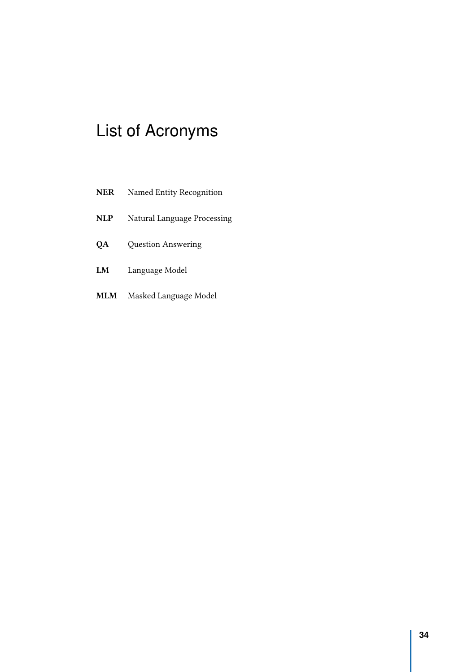# <span id="page-40-0"></span>List of Acronyms

| <b>NER</b> | Named Entity Recognition    |
|------------|-----------------------------|
| <b>NLP</b> | Natural Language Processing |
| QA         | Question Answering          |
| LM         | Language Model              |
| MLM        | Masked Language Model       |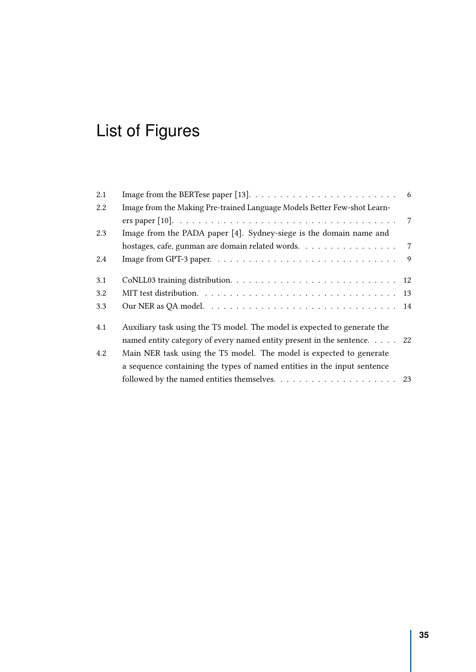# <span id="page-41-0"></span>List of Figures

| 2.1 |                                                                          | 6               |
|-----|--------------------------------------------------------------------------|-----------------|
| 2.2 | Image from the Making Pre-trained Language Models Better Few-shot Learn- |                 |
|     |                                                                          | $7\overline{ }$ |
| 2.3 | Image from the PADA paper [4]. Sydney-siege is the domain name and       |                 |
|     | hostages, cafe, gunman are domain related words. 7                       |                 |
| 2.4 |                                                                          | $\overline{9}$  |
| 3.1 |                                                                          |                 |
| 3.2 |                                                                          |                 |
| 3.3 |                                                                          |                 |
| 4.1 | Auxiliary task using the T5 model. The model is expected to generate the |                 |
|     | named entity category of every named entity present in the sentence. 22  |                 |
| 4.2 | Main NER task using the T5 model. The model is expected to generate      |                 |
|     | a sequence containing the types of named entities in the input sentence  |                 |
|     |                                                                          |                 |
|     |                                                                          |                 |